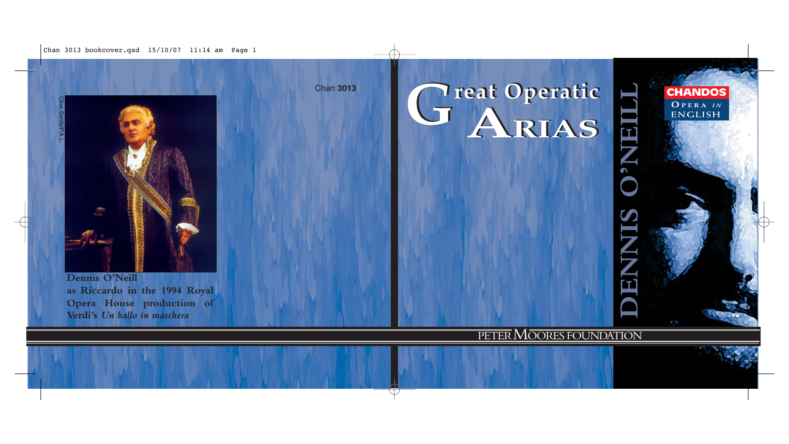Chan 3013 bookcover.qxd  $15/10/07$  11:14 am Page 1

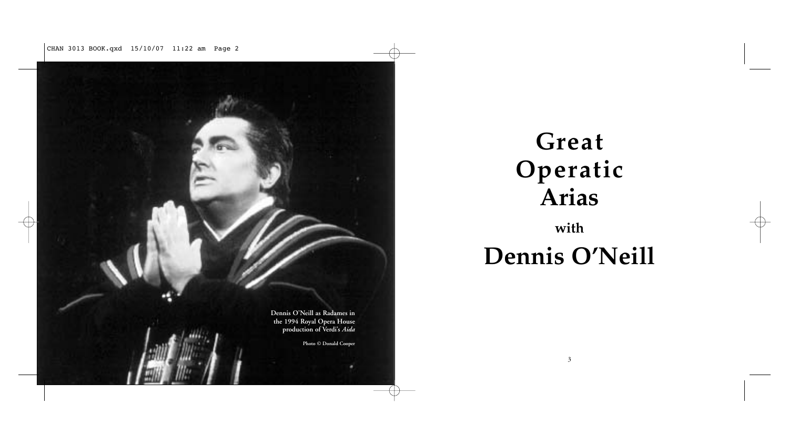CHAN 3013 BOOK.qxd 15/10/07 11:22 am Page 2



# **Great Operatic Arias with**

# **Dennis O'Neill**

3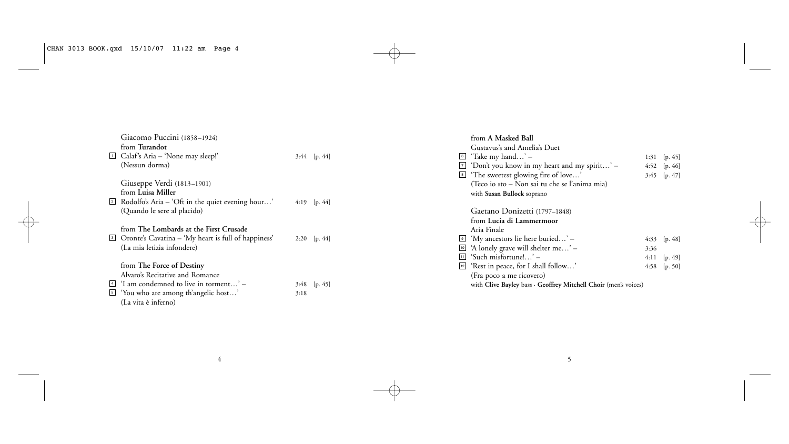|  | Giacomo Puccini (1858-1924)<br>from Turandot<br>Calaf's Aria – 'None may sleep!'<br>(Nessun dorma) | $3:44$ [p. 44] | from A Masked Ball<br>Gustavus's and Amelia's Duet<br>'Take my hand' $-$<br>6<br>$\boxed{7}$ 'Don't you know in my heart and my spirit' –<br><sup>8</sup> The sweetest glowing fire of love' | 1:31 $[p. 45]$<br>4:52 [p. 46] |
|--|----------------------------------------------------------------------------------------------------|----------------|----------------------------------------------------------------------------------------------------------------------------------------------------------------------------------------------|--------------------------------|
|  | Giuseppe Verdi (1813–1901)                                                                         |                | (Teco io sto – Non sai tu che se l'anima mia)                                                                                                                                                | $3:45$ [p. 47]                 |
|  | from Luisa Miller                                                                                  |                | with Susan Bullock soprano                                                                                                                                                                   |                                |
|  | $\boxed{2}$ Rodolfo's Aria – 'Oft in the quiet evening hour'                                       | 4:19 $[p. 44]$ |                                                                                                                                                                                              |                                |
|  | (Quando le sere al placido)                                                                        |                | Gaetano Donizetti (1797-1848)                                                                                                                                                                |                                |
|  |                                                                                                    |                | from Lucia di Lammermoor                                                                                                                                                                     |                                |
|  | from The Lombards at the First Crusade                                                             |                | Aria Finale                                                                                                                                                                                  |                                |
|  | <sup>3</sup> Oronte's Cavatina – 'My heart is full of happiness'                                   | 2:20 $[p. 44]$ | $\Theta$ 'My ancestors lie here buried' –                                                                                                                                                    | 4:33 $[p. 48]$                 |
|  | (La mia letizia infondere)                                                                         |                | $\boxed{10}$ 'A lonely grave will shelter me' –<br>3:36                                                                                                                                      |                                |
|  |                                                                                                    |                | $\boxed{11}$ 'Such misfortune!' –                                                                                                                                                            | $4:11$ [p. 49]                 |
|  | from The Force of Destiny                                                                          |                | [12] 'Rest in peace, for I shall follow'                                                                                                                                                     | 4:58 $[p. 50]$                 |
|  | Alvaro's Recitative and Romance                                                                    |                | (Fra poco a me ricovero)                                                                                                                                                                     |                                |
|  | $\frac{4}{4}$ 'I am condemned to live in torment' –                                                | $3:48$ [p. 45] | with Clive Bayley bass · Geoffrey Mitchell Choir (men's voices)                                                                                                                              |                                |
|  | <sup>5</sup> 'You who are among th'angelic host'                                                   | 3:18           |                                                                                                                                                                                              |                                |
|  | (La vita è inferno)                                                                                |                |                                                                                                                                                                                              |                                |

4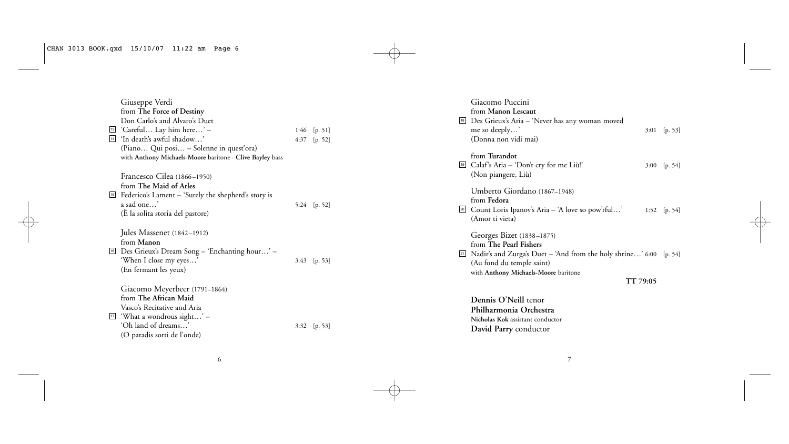| Giuseppe Verdi<br>from The Force of Destiny<br>Don Carlo's and Alvaro's Duet<br><sup>13</sup> 'Careful Lay him here' -<br><sup>14</sup> 'In death's awful shadow'<br>(Piano Qui posi – Solenne in quest'ora)<br>with Anthony Michaels-Moore baritone · Clive Bayley bass | 4:37 | 1:46 $[p. 51]$<br>[p. 52] |
|--------------------------------------------------------------------------------------------------------------------------------------------------------------------------------------------------------------------------------------------------------------------------|------|---------------------------|
| Francesco Cilea (1866–1950)<br>from The Maid of Arles<br><sup>15</sup> Federico's Lament – 'Surely the shepherd's story is<br>a sad one'<br>(E la solita storia del pastore)                                                                                             |      | 5:24 $[p. 52]$            |
| Jules Massenet (1842-1912)<br>from Manon<br><sup>16</sup> Des Grieux's Dream Song - 'Enchanting hour' -<br>'When I close my eyes'<br>(En fermant les yeux)                                                                                                               | 3:43 | [p. 53]                   |
| Giacomo Meyerbeer (1791–1864)<br>from The African Maid<br>Vasco's Recitative and Aria<br><sup>17</sup> 'What a wondrous sight' –<br>'Oh land of dreams'<br>(O paradis sorti de l'onde)                                                                                   | 3:32 | [p. 53]                   |

|              | Giacomo Puccini<br>from Manon Lescaut<br><sup>18</sup> Des Grieux's Aria - 'Never has any woman moved<br>me so deeply'<br>(Donna non vidi mai)                                                     | 3:01 | [p. 53]    |
|--------------|----------------------------------------------------------------------------------------------------------------------------------------------------------------------------------------------------|------|------------|
| 19           | from Turandot<br>Calaf's Aria - 'Don't cry for me Liù!'<br>(Non piangere, Liù)                                                                                                                     | 3:00 | [p. 54]    |
| $\boxed{20}$ | Umberto Giordano (1867–1948)<br>from Fedora<br>Count Loris Ipanov's Aria – 'A love so pow'rful'<br>(Amor ti vieta)                                                                                 | 1:52 | [p. 54]    |
| 21           | Georges Bizet (1838-1875)<br>from The Pearl Fishers<br>Nadir's and Zurga's Duet – 'And from the holy shrine' 6:00<br>(Au fond du temple saint)<br>with Anthony Michaels-Moore baritone<br>TT 79:05 |      | [p. $54$ ] |
|              | Dennis O'Neill tenor<br>Philharmonia Orchestra                                                                                                                                                     |      |            |

 $\sim$  6

**Nicholas Kok** assistant conductor **David Parry** conductor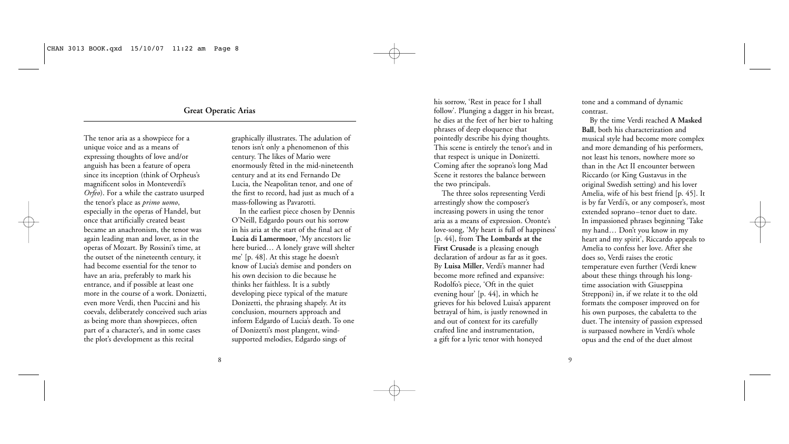# **Great Operatic Arias**

The tenor aria as a showpiece for a unique voice and as a means of expressing thoughts of love and/or anguish has been a feature of opera since its inception (think of Orpheus's magnificent solos in Monteverdi's *Orfeo*). For a while the castrato usurped the tenor's place as *primo uomo*, especially in the operas of Handel, but once that artificially created beast became an anachronism, the tenor was again leading man and lover, as in the operas of Mozart. By Rossini's time, at the outset of the nineteenth century, it had become essential for the tenor to have an aria, preferably to mark his entrance, and if possible at least one more in the course of a work. Donizetti, even more Verdi, then Puccini and his coevals, deliberately conceived such arias as being more than showpieces, often part of a character's, and in some cases the plot's development as this recital

graphically illustrates. The adulation of tenors isn't only a phenomenon of this century. The likes of Mario were enormously fêted in the mid-nineteenth century and at its end Fernando De Lucia, the Neapolitan tenor, and one of the first to record, had just as much of a mass-following as Pavarotti.

In the earliest piece chosen by Dennis O'Neill, Edgardo pours out his sorrow in his aria at the start of the final act of **Lucia di Lamermoor**, 'My ancestors lie here buried… A lonely grave will shelter me' [p. 48]. At this stage he doesn't know of Lucia's demise and ponders on his own decision to die because he thinks her faithless. It is a subtly developing piece typical of the mature Donizetti, the phrasing shapely. At its conclusion, mourners approach and inform Edgardo of Lucia's death. To one of Donizetti's most plangent, windsupported melodies, Edgardo sings of

his sorrow, 'Rest in peace for I shall follow'. Plunging a dagger in his breast, he dies at the feet of her bier to halting phrases of deep eloquence that pointedly describe his dying thoughts. This scene is entirely the tenor's and in that respect is unique in Donizetti. Coming after the soprano's long Mad Scene it restores the balance between the two principals.

The three solos representing Verdi arrestingly show the composer's increasing powers in using the tenor aria as a means of expression. Oronte's love-song, 'My heart is full of happiness' [p. 44], from **The Lombards at the First Crusade** is a pleasing enough declaration of ardour as far as it goes. By **Luisa Miller**, Verdi's manner had become more refined and expansive: Rodolfo's piece, 'Oft in the quiet evening hour' [p. 44], in which he grieves for his beloved Luisa's apparent betrayal of him, is justly renowned in and out of context for its carefully crafted line and instrumentation, a gift for a lyric tenor with honeyed

tone and a command of dynamic contrast.

By the time Verdi reached **A Masked Ball**, both his characterization and musical style had become more complex and more demanding of his performers, not least his tenors, nowhere more so than in the Act II encounter between Riccardo (or King Gustavus in the original Swedish setting) and his lover Amelia, wife of his best friend [p. 45]. It is by far Verdi's, or any composer's, most extended soprano–tenor duet to date. In impassioned phrases beginning 'Take my hand… Don't you know in my heart and my spirit', Riccardo appeals to Amelia to confess her love. After she does so, Verdi raises the erotic temperature even further (Verdi knew about these things through his longtime association with Giuseppina Strepponi) in, if we relate it to the old formats the composer improved on for his own purposes, the cabaletta to the duet. The intensity of passion expressed is surpassed nowhere in Verdi's whole opus and the end of the duet almost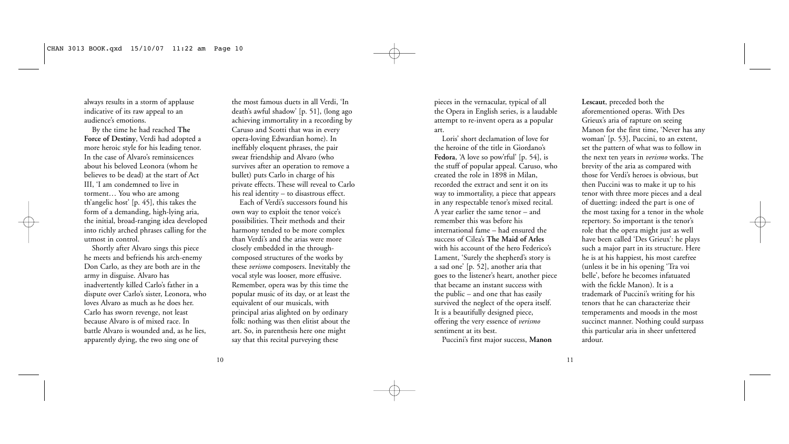always results in a storm of applause indicative of its raw appeal to an audience's emotions.

By the time he had reached **The Force of Destiny**, Verdi had adopted a more heroic style for his leading tenor. In the case of Alvaro's reminsicences about his beloved Leonora (whom he believes to be dead) at the start of Act III, 'I am condemned to live in torment… You who are among th'angelic host' [p. 45], this takes the form of a demanding, high-lying aria, the initial, broad-ranging idea developed into richly arched phrases calling for the utmost in control.

Shortly after Alvaro sings this piece he meets and befriends his arch-enemy Don Carlo, as they are both are in the army in disguise. Alvaro has inadvertently killed Carlo's father in a dispute over Carlo's sister, Leonora, who loves Alvaro as much as he does her. Carlo has sworn revenge, not least because Alvaro is of mixed race. In battle Alvaro is wounded and, as he lies, apparently dying, the two sing one of

the most famous duets in all Verdi, 'In death's awful shadow' [p. 51], (long ago achieving immortality in a recording by Caruso and Scotti that was in every opera-loving Edwardian home). In ineffably eloquent phrases, the pair swear friendship and Alvaro (who survives after an operation to remove a bullet) puts Carlo in charge of his private effects. These will reveal to Carlo his real identity – to disastrous effect.

Each of Verdi's successors found his own way to exploit the tenor voice's possibilities. Their methods and their harmony tended to be more complex than Verdi's and the arias were more closely embedded in the throughcomposed structures of the works by these *verismo* composers. Inevitably the vocal style was looser, more effusive. Remember, opera was by this time the popular music of its day, or at least the equivalent of our musicals, with principal arias alighted on by ordinary folk: nothing was then elitist about the art. So, in parenthesis here one might say that this recital purveying these

pieces in the vernacular, typical of all the Opera in English series, is a laudable attempt to re-invent opera as a popular art.

Loris' short declamation of love for the heroine of the title in Giordano's Fedora, 'A love so pow'rful' [p. 54], is the stuff of popular appeal. Caruso, who created the role in 1898 in Milan, recorded the extract and sent it on its way to immortality, a piece that appears in any respectable tenor's mixed recital. A year earlier the same tenor – and remember this was before his international fame – had ensured the success of Cilea's **The Maid of Arles** with his account of the hero Federico's Lament, 'Surely the shepherd's story is a sad one' [p. 52], another aria that goes to the listener's heart, another piece that became an instant success with the public – and one that has easily survived the neglect of the opera itself. It is a beautifully designed piece, offering the very essence of *verismo* sentiment at its best.

Puccini's first major success, **Manon**

**Lescaut**, preceded both the aforementioned operas. With Des Grieux's aria of rapture on seeing Manon for the first time, 'Never has any woman' [p. 53], Puccini, to an extent, set the pattern of what was to follow in the next ten years in *verismo* works. The brevity of the aria as compared with those for Verdi's heroes is obvious, but then Puccini was to make it up to his tenor with three more pieces and a deal of duetting: indeed the part is one of the most taxing for a tenor in the whole repertory. So important is the tenor's role that the opera might just as well have been called 'Des Grieux': he plays such a major part in its structure. Here he is at his happiest, his most carefree (unless it be in his opening 'Tra voi belle', before he becomes infatuated with the fickle Manon). It is a trademark of Puccini's writing for his tenors that he can characterize their temperaments and moods in the most succinct manner. Nothing could surpass this particular aria in sheer unfettered ardour.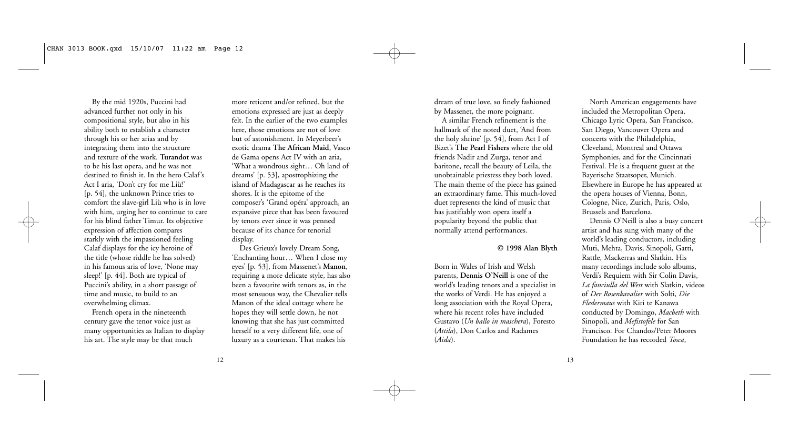By the mid 1920s, Puccini had advanced further not only in his compositional style, but also in his ability both to establish a character through his or her arias and by integrating them into the structure and texture of the work. **Turandot** was to be his last opera, and he was not destined to finish it. In the hero Calaf's Act I aria, 'Don't cry for me Liù!' [p. 54], the unknown Prince tries to comfort the slave-girl Liù who is in love with him, urging her to continue to care for his blind father Timur. Its objective expression of affection compares starkly with the impassioned feeling Calaf displays for the icy heroine of the title (whose riddle he has solved) in his famous aria of love, 'None may sleep!' [p. 44]. Both are typical of Puccini's ability, in a short passage of time and music, to build to an overwhelming climax.

French opera in the nineteenth century gave the tenor voice just as many opportunities as Italian to display his art. The style may be that much

more reticent and/or refined, but the emotions expressed are just as deeply felt. In the earlier of the two examples here, those emotions are not of love but of astonishment. In Meyerbeer's exotic drama **The African Maid**, Vasco de Gama opens Act IV with an aria, 'What a wondrous sight… Oh land of dreams' [p. 53], apostrophizing the island of Madagascar as he reaches its shores. It is the epitome of the composer's 'Grand opéra' approach, an expansive piece that has been favoured by tenors ever since it was penned because of its chance for tenorial display.

Des Grieux's lovely Dream Song, 'Enchanting hour… When I close my eyes' [p. 53], from Massenet's **Manon**, requiring a more delicate style, has also been a favourite with tenors as, in the most sensuous way, the Chevalier tells Manon of the ideal cottage where he hopes they will settle down, he not knowing that she has just committed herself to a very different life, one of luxury as a courtesan. That makes his

dream of true love, so finely fashioned by Massenet, the more poignant.

A similar French refinement is the hallmark of the noted duet, 'And from the holy shrine' [p. 54], from Act I of Bizet's **The Pearl Fishers** where the old friends Nadir and Zurga, tenor and baritone, recall the beauty of Leila, the unobtainable priestess they both loved. The main theme of the piece has gained an extraordinary fame. This much-loved duet represents the kind of music that has justifiably won opera itself a popularity beyond the public that normally attend performances.

#### **© 1998 Alan Blyth**

Born in Wales of Irish and Welsh parents, **Dennis O'Neill** is one of the world's leading tenors and a specialist in the works of Verdi. He has enjoyed a long association with the Royal Opera, where his recent roles have included Gustavo (*Un ballo in maschera*), Foresto (*Attila*), Don Carlos and Radames (*Aida*).

North American engagements have included the Metropolitan Opera, Chicago Lyric Opera, San Francisco, San Diego, Vancouver Opera and concerts with the Philadelphia, Cleveland, Montreal and Ottawa Symphonies, and for the Cincinnati Festival. He is a frequent guest at the Bayerische Staatsoper, Munich. Elsewhere in Europe he has appeared at the opera houses of Vienna, Bonn, Cologne, Nice, Zurich, Paris, Oslo, Brussels and Barcelona.

Dennis O'Neill is also a busy concert artist and has sung with many of the world's leading conductors, including Muti, Mehta, Davis, Sinopoli, Gatti, Rattle, Mackerras and Slatkin. His many recordings include solo albums, Verdi's Requiem with Sir Colin Davis, *La fanciulla del West* with Slatkin, videos of *Der Rosenkavalier* with Solti, *Die Fledermaus* with Kiri te Kanawa conducted by Domingo, *Macbeth* with Sinopoli, and *Mefistofele* for San Francisco. For Chandos/Peter Moores Foundation he has recorded *Tosca*,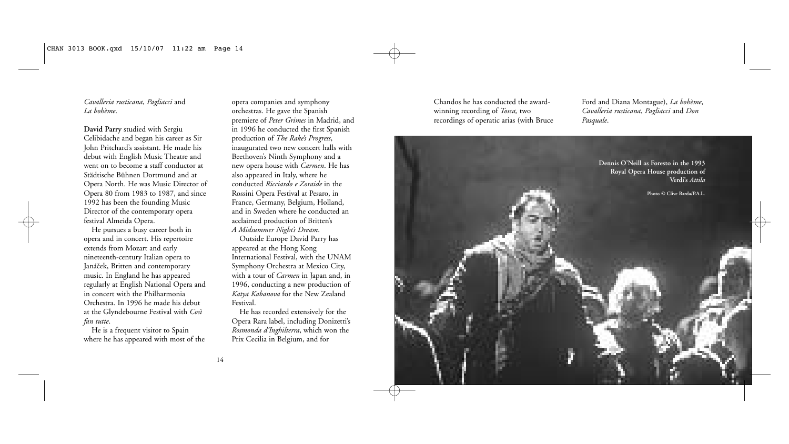*Cavalleria rusticana*, *Pagliacci* and *La bohème*.

**David Parry** studied with Sergiu Celibidache and began his career as Sir John Pritchard's assistant. He made his debut with English Music Theatre and went on to become a staff conductor at Städtische Bühnen Dortmund and at Opera North. He was Music Director of Opera 80 from 1983 to 1987, and since 1992 has been the founding Music Director of the contemporary opera festival Almeida Opera.

He pursues a busy career both in opera and in concert. His repertoire extends from Mozart and early nineteenth-century Italian opera to Janáček, Britten and contemporary music. In England he has appeared regularly at English National Opera and in concert with the Philharmonia Orchestra. In 1996 he made his debut at the Glyndebourne Festival with *Così fan tutte*.

He is a frequent visitor to Spain where he has appeared with most of the

opera companies and symphony orchestras. He gave the Spanish premiere of *Peter Grimes* in Madrid, and in 1996 he conducted the first Spanish production of *The Rake's Progress*, inaugurated two new concert halls with Beethoven's Ninth Symphony and a new opera house with *Carmen*. He has also appeared in Italy, where he conducted *Ricciardo e Zoraide* in the Rossini Opera Festival at Pesaro, in France, Germany, Belgium, Holland, and in Sweden where he conducted an acclaimed production of Britten's *A Midsummer Night's Dream*.

Outside Europe David Parry has appeared at the Hong Kong International Festival, with the UNAM Symphony Orchestra at Mexico City, with a tour of *Carmen* in Japan and, in 1996, conducting a new production of *Katya Kabanova* for the New Zealand Festival.

He has recorded extensively for the Opera Rara label, including Donizetti's *Rosmonda d'Inghilterra*, which won the Prix Cecilia in Belgium, and for

Chandos he has conducted the awardwinning recording of *Tosca,* two recordings of operatic arias (with Bruce Ford and Diana Montague), *La bohème*, *Cavalleria rusticana*, *Pagliacci* and *Don Pasquale*.

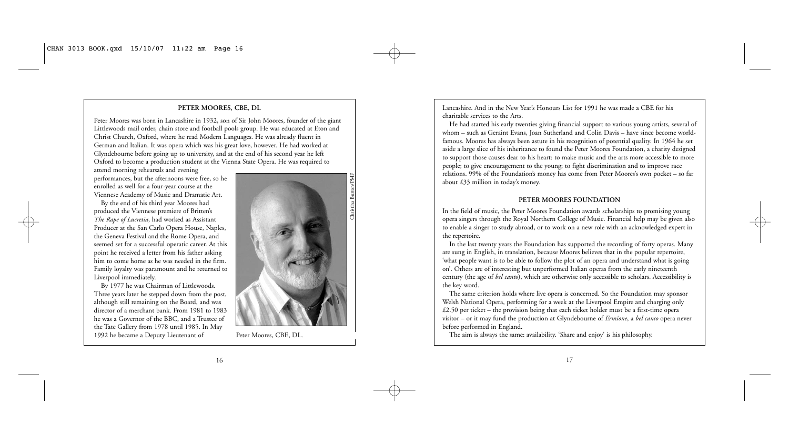#### **PETER MOORES, CBE, DL**

Peter Moores was born in Lancashire in 1932, son of Sir John Moores, founder of the giant Littlewoods mail order, chain store and football pools group. He was educated at Eton and Christ Church, Oxford, where he read Modern Languages. He was already fluent in German and Italian. It was opera which was his great love, however. He had worked at Glyndebourne before going up to university, and at the end of his second year he left Oxford to become a production student at the Vienna State Opera. He was required to

attend morning rehearsals and evening performances, but the afternoons were free, so he enrolled as well for a four-year course at the Viennese Academy of Music and Dramatic Art.

By the end of his third year Moores had produced the Viennese premiere of Britten's *The Rape of Lucretia*, had worked as Assistant Producer at the San Carlo Opera House, Naples, the Geneva Festival and the Rome Opera, and seemed set for a successful operatic career. At this point he received a letter from his father asking him to come home as he was needed in the firm. Family loyalty was paramount and he returned to Liverpool immediately.

By 1977 he was Chairman of Littlewoods. Three years later he stepped down from the post, although still remaining on the Board, and was director of a merchant bank. From 1981 to 1983 he was a Governor of the BBC, and a Trustee of the Tate Gallery from 1978 until 1985. In May 1992 he became a Deputy Lieutenant of Peter Moores, CBE, DL.



Lancashire. And in the New Year's Honours List for 1991 he was made a CBE for his charitable services to the Arts.

He had started his early twenties giving financial support to various young artists, several of whom – such as Geraint Evans, Joan Sutherland and Colin Davis – have since become worldfamous. Moores has always been astute in his recognition of potential quality. In 1964 he set aside a large slice of his inheritance to found the Peter Moores Foundation, a charity designed to support those causes dear to his heart: to make music and the arts more accessible to more people; to give encouragement to the young; to fight discrimination and to improve race relations. 99% of the Foundation's money has come from Peter Moores's own pocket – so far about £33 million in today's money.

#### **PETER MOORES FOUNDATION**

In the field of music, the Peter Moores Foundation awards scholarships to promising young opera singers through the Royal Northern College of Music. Financial help may be given also to enable a singer to study abroad, or to work on a new role with an acknowledged expert in the repertoire.

In the last twenty years the Foundation has supported the recording of forty operas. Many are sung in English, in translation, because Moores believes that in the popular repertoire, 'what people want is to be able to follow the plot of an opera and understand what is going on'. Others are of interesting but unperformed Italian operas from the early nineteenth century (the age of *bel canto*), which are otherwise only accessible to scholars. Accessibility is the key word.

The same criterion holds where live opera is concerned. So the Foundation may sponsor Welsh National Opera, performing for a week at the Liverpool Empire and charging only £2.50 per ticket – the provision being that each ticket holder must be a first-time opera visitor – or it may fund the production at Glyndebourne of *Ermione*, a *bel canto* opera never before performed in England.

The aim is always the same: availability. 'Share and enjoy' is his philosophy.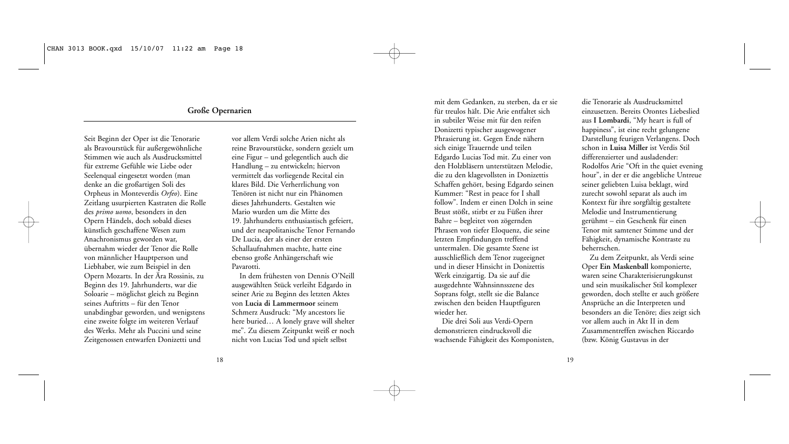# **Große Opernarien**

Seit Beginn der Oper ist die Tenorarie als Bravourstück für außergewöhnliche Stimmen wie auch als Ausdrucksmittel für extreme Gefühle wie Liebe oder Seelenqual eingesetzt worden (man denke an die großartigen Soli des Orpheus in Monteverdis *Orfeo*). Eine Zeitlang usurpierten Kastraten die Rolle des *primo uomo*, besonders in den Opern Händels, doch sobald dieses künstlich geschaffene Wesen zum Anachronismus geworden war, übernahm wieder der Tenor die Rolle von männlicher Hauptperson und Liebhaber, wie zum Beispiel in den Opern Mozarts. In der Ära Rossinis, zu Beginn des 19. Jahrhunderts, war die Soloarie – möglichst gleich zu Beginn seines Auftritts – für den Tenor unabdingbar geworden, und wenigstens eine zweite folgte im weiteren Verlauf des Werks. Mehr als Puccini und seine Zeitgenossen entwarfen Donizetti und

vor allem Verdi solche Arien nicht als reine Bravourstücke, sondern gezielt um eine Figur – und gelegentlich auch die Handlung – zu entwickeln; hiervon vermittelt das vorliegende Recital ein klares Bild. Die Verherrlichung von Tenören ist nicht nur ein Phänomen dieses Jahrhunderts. Gestalten wie Mario wurden um die Mitte des 19. Jahrhunderts enthusiastisch gefeiert, und der neapolitanische Tenor Fernando De Lucia, der als einer der ersten Schallaufnahmen machte, hatte eine ebenso große Anhängerschaft wie Pavarotti.

In dem frühesten von Dennis O'Neill ausgewählten Stück verleiht Edgardo in seiner Arie zu Beginn des letzten Aktes von **Lucia di Lammermoor** seinem Schmerz Ausdruck: "My ancestors lie here buried… A lonely grave will shelter me". Zu diesem Zeitpunkt weiß er noch nicht von Lucias Tod und spielt selbst

mit dem Gedanken, zu sterben, da er sie für treulos hält. Die Arie entfaltet sich in subtiler Weise mit für den reifen Donizetti typischer ausgewogener Phrasierung ist. Gegen Ende nähern sich einige Trauernde und teilen Edgardo Lucias Tod mit. Zu einer von den Holzbläsern unterstützen Melodie, die zu den klagevollsten in Donizettis Schaffen gehört, besing Edgardo seinen Kummer: "Rest in peace for I shall follow". Indem er einen Dolch in seine Brust stößt, stirbt er zu Füßen ihrer Bahre – begleitet von zögernden Phrasen von tiefer Eloquenz, die seine letzten Empfindungen treffend untermalen. Die gesamte Szene ist ausschließlich dem Tenor zugeeignet und in dieser Hinsicht in Donizettis Werk einzigartig. Da sie auf die ausgedehnte Wahnsinnsszene des Soprans folgt, stellt sie die Balance zwischen den beiden Hauptfiguren wieder her.

Die drei Soli aus Verdi-Opern demonstrieren eindrucksvoll die wachsende Fähigkeit des Komponisten, die Tenorarie als Ausdrucksmittel einzusetzen. Bereits Orontes Liebeslied aus **I Lombardi**, "My heart is full of happiness", ist eine recht gelungene Darstellung feurigen Verlangens. Doch schon in **Luisa Miller** ist Verdis Stil differenzierter und ausladender: Rodolfos Arie "Oft in the quiet evening hour", in der er die angebliche Untreue seiner geliebten Luisa beklagt, wird zurecht sowohl separat als auch im Kontext für ihre sorgfältig gestaltete Melodie und Instrumentierung gerühmt – ein Geschenk für einen Tenor mit samtener Stimme und der Fähigkeit, dynamische Kontraste zu beherrschen.

Zu dem Zeitpunkt, als Verdi seine Oper **Ein Maskenball** komponierte, waren seine Charakterisierungskunst und sein musikalischer Stil komplexer geworden, doch stellte er auch größere Ansprüche an die Interpreten und besonders an die Tenöre; dies zeigt sich vor allem auch in Akt II in dem Zusammentreffen zwischen Riccardo (bzw. König Gustavus in der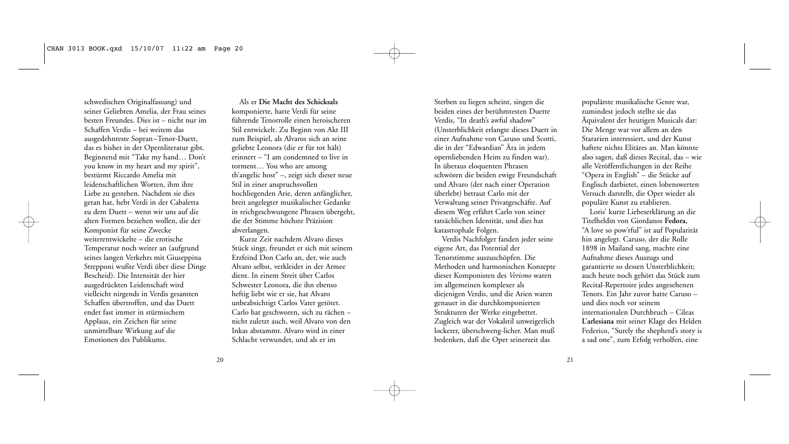schwedischen Originalfassung) und seiner Geliebten Amelia, der Frau seines besten Freundes. Dies ist – nicht nur im Schaffen Verdis – bei weitem das ausgedehnteste Sopran–Tenor-Duett, das es bisher in der Opernliteratur gibt. Beginnend mit "Take my hand… Don't you know in my heart and my spirit", bestürmt Riccardo Amelia mit leidenschaftlichen Worten, ihm ihre Liebe zu gestehen. Nachdem sie dies getan hat, hebt Verdi in der Cabaletta zu dem Duett – wenn wir uns auf die alten Formen beziehen wollen, die der Komponist für seine Zwecke weiterentwickelte – die erotische Temperatur noch weiter an (aufgrund seines langen Verkehrs mit Giuseppina Strepponi wußte Verdi über diese Dinge Bescheid). Die Intensität der hier ausgedrückten Leidenschaft wird vielleicht nirgends in Verdis gesamten Schaffen übertroffen, und das Duett endet fast immer in stürmischem Applaus, ein Zeichen für seine unmittelbare Wirkung auf die Emotionen des Publikums.

Als er **Die Macht des Schicksals** komponierte, hatte Verdi für seine führende Tenorrolle einen heroischeren Stil entwickelt. Zu Beginn von Akt III zum Beispiel, als Alvaros sich an seine geliebte Leonora (die er für tot hält) erinnert – "I am condemned to live in torment… You who are among th'angelic host" –, zeigt sich dieser neue Stil in einer anspruchsvollen hochliegenden Arie, deren anfänglicher, breit angelegter musikalischer Gedanke in reichgeschwungene Phrasen übergeht, die der Stimme höchste Präzision abverlangen.

Kurze Zeit nachdem Alvaro dieses Stück singt, freundet er sich mit seinem Erzfeind Don Carlo an, der, wie auch Alvaro selbst, verkleidet in der Armee dient. In einem Streit über Carlos Schwester Leonora, die ihn ebenso heftig liebt wie er sie, hat Alvaro unbeabsichtigt Carlos Vater getötet. Carlo hat geschworen, sich zu rächen – nicht zuletzt auch, weil Alvaro von den Inkas abstammt. Alvaro wird in einer Schlacht verwundet, und als er im

Sterben zu liegen scheint, singen die beiden eines der berühmtesten Duette Verdis, "In death's awful shadow" (Unsterblichkeit erlangte dieses Duett in einer Aufnahme von Caruso und Scotti, die in der "Edwardian" Ära in jedem opernliebenden Heim zu finden war). In überaus eloquenten Phrasen schwören die beiden ewige Freundschaft und Alvaro (der nach einer Operation überlebt) betraut Carlo mit der Verwaltung seiner Privatgeschäfte. Auf diesem Weg erfährt Carlo von seiner tatsächlichen Identität, und dies hat katastrophale Folgen.

Verdis Nachfolger fanden jeder seine eigene Art, das Potential der Tenorstimme auszuschöpfen. Die Methoden und harmonischen Konzepte dieser Komponisten des *Verismo* waren im allgemeinen komplexer als diejenigen Verdis, und die Arien waren genauer in die durchkomponierten Strukturen der Werke eingebettet. Zugleich war der Vokalstil unweigerlich lockerer, überschweng-licher. Man muß bedenken, daß die Oper seinerzeit das

populärste musikalische Genre war, zumindest jedoch stellte sie das Äquivalent der heutigen Musicals dar: Die Menge war vor allem an den Stararien interessiert, und der Kunst haftete nichts Elitäres an. Man könnte also sagen, daß dieses Recital, das – wie alle Veröffentlichungen in der Reihe "Opera in English" – die Stücke auf Englisch darbietet, einen lobenswerten Versuch darstellt, die Oper wieder als populäre Kunst zu etablieren.

Loris' kurze Liebeserklärung an die Titelheldin von Giordanos **Fedora**, "A love so pow'rful" ist auf Popularität hin angelegt. Caruso, der die Rolle 1898 in Mailand sang, machte eine Aufnahme dieses Auszugs und garantierte so dessen Unsterblichkeit; auch heute noch gehört das Stück zum Recital-Repertoire jedes angesehenen Tenors. Ein Jahr zuvor hatte Caruso – und dies noch vor seinem internationalen Durchbruch – Cileas **L'arlesiana** mit seiner Klage des Helden Federico, "Surely the shepherd's story is a sad one", zum Erfolg verholfen, eine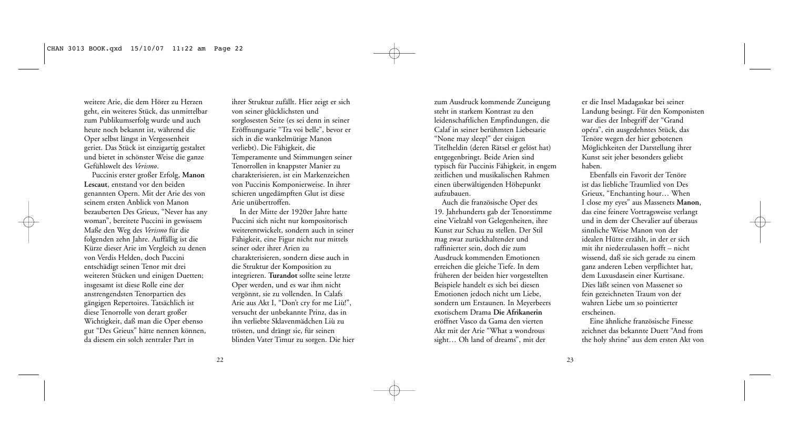weitere Arie, die dem Hörer zu Herzen geht, ein weiteres Stück, das unmittelbar zum Publikumserfolg wurde und auch heute noch bekannt ist, während die Oper selbst längst in Vergessenheit geriet. Das Stück ist einzigartig gestaltet und bietet in schönster Weise die ganze Gefühlswelt des *Verismo*.

Puccinis erster großer Erfolg, **Manon Lescaut**, entstand vor den beiden genannten Opern. Mit der Arie des von seinem ersten Anblick von Manon bezauberten Des Grieux, "Never has any woman", bereitete Puccini in gewissem Maße den Weg des *Verismo* für die folgenden zehn Jahre. Auffällig ist die Kürze dieser Arie im Vergleich zu denen von Verdis Helden, doch Puccini entschädigt seinen Tenor mit drei weiteren Stücken und einigen Duetten; insgesamt ist diese Rolle eine der anstrengendsten Tenorpartien des gängigen Repertoires. Tatsächlich ist diese Tenorrolle von derart großer Wichtigkeit, daß man die Oper ebenso gut "Des Grieux" hätte nennen können, da diesem ein solch zentraler Part in

ihrer Struktur zufällt. Hier zeigt er sich von seiner glücklichsten und sorglosesten Seite (es sei denn in seiner Eröffnungsarie "Tra voi belle", bevor er sich in die wankelmütige Manon verliebt). Die Fähigkeit, die Temperamente und Stimmungen seiner Tenorrollen in knappster Manier zu charakterisieren, ist ein Markenzeichen von Puccinis Komponierweise. In ihrer schieren ungedämpften Glut ist diese Arie unübertroffen.

In der Mitte der 1920er Jahre hatte Puccini sich nicht nur kompositorisch weiterentwickelt, sondern auch in seiner Fähigkeit, eine Figur nicht nur mittels seiner oder ihrer Arien zu charakterisieren, sondern diese auch in die Struktur der Komposition zu integrieren. **Turandot** sollte seine letzte Oper werden, und es war ihm nicht vergönnt, sie zu vollenden. In Calafs Arie aus Akt I, "Don't cry for me Liù!", versucht der unbekannte Prinz, das in ihn verliebte Sklavenmädchen Liù zu trösten, und drängt sie, für seinen blinden Vater Timur zu sorgen. Die hier

zum Ausdruck kommende Zuneigung steht in starkem Kontrast zu den leidenschaftlichen Empfindungen, die Calaf in seiner berühmten Liebesarie "None may sleep!" der eisigen Titelheldin (deren Rätsel er gelöst hat) entgegenbringt. Beide Arien sind typisch für Puccinis Fähigkeit, in engem zeitlichen und musikalischen Rahmen einen überwältigenden Höhepunkt aufzubauen.

Auch die französische Oper des 19. Jahrhunderts gab der Tenorstimme eine Vielzahl von Gelegenheiten, ihre Kunst zur Schau zu stellen. Der Stil mag zwar zurückhaltender und raffinierter sein, doch die zum Ausdruck kommenden Emotionen erreichen die gleiche Tiefe. In dem früheren der beiden hier vorgestellten Beispiele handelt es sich bei diesen Emotionen jedoch nicht um Liebe, sondern um Erstaunen. In Meyerbeers exotischem Drama **Die Afrikanerin** eröffnet Vasco da Gama den vierten Akt mit der Arie "What a wondrous sight… Oh land of dreams", mit der

er die Insel Madagaskar bei seiner Landung besingt. Für den Komponisten war dies der Inbegriff der "Grand opéra", ein ausgedehntes Stück, das Tenöre wegen der hier gebotenen Möglichkeiten der Darstellung ihrer Kunst seit jeher besonders geliebt haben.

Ebenfalls ein Favorit der Tenöre ist das liebliche Traumlied von Des Grieux, "Enchanting hour… When I close my eyes" aus Massenets **Manon**, das eine feinere Vortragsweise verlangt und in dem der Chevalier auf überaus sinnliche Weise Manon von der idealen Hütte erzählt, in der er sich mit ihr niederzulassen hofft – nicht wissend, daß sie sich gerade zu einem ganz anderen Leben verpflichtet hat, dem Luxusdasein einer Kurtisane. Dies läßt seinen von Massenet so fein gezeichneten Traum von der wahren Liebe um so pointierter erscheinen.

Eine ähnliche französische Finesse zeichnet das bekannte Duett "And from the holy shrine" aus dem ersten Akt von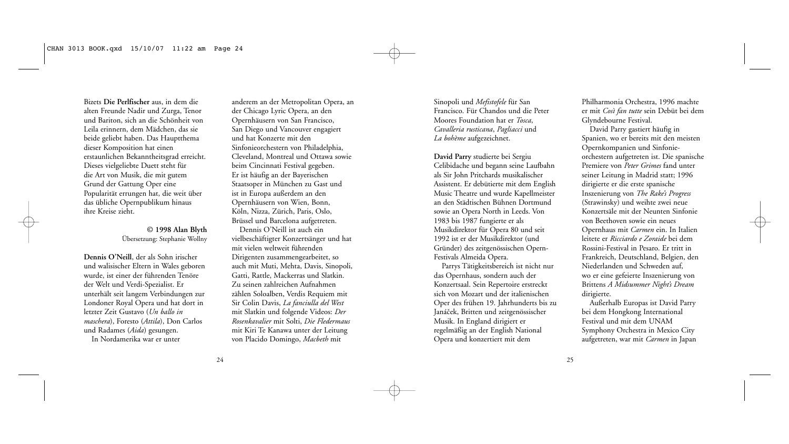Bizets **Die Perlfischer** aus, in dem die alten Freunde Nadir und Zurga, Tenor und Bariton, sich an die Schönheit von Leila erinnern, dem Mädchen, das sie beide geliebt haben. Das Hauptthema dieser Komposition hat einen erstaunlichen Bekanntheitsgrad erreicht. Dieses vielgeliebte Duett steht für die Art von Musik, die mit gutem Grund der Gattung Oper eine Popularität errungen hat, die weit über das übliche Opernpublikum hinaus ihre Kreise zieht.

# **© 1998 Alan Blyth** Übersetzung: Stephanie Wollny

**Dennis O'Neill**, der als Sohn irischer und walisischer Eltern in Wales geboren wurde, ist einer der führenden Tenöre der Welt und Verdi-Spezialist. Er unterhält seit langem Verbindungen zur Londoner Royal Opera und hat dort in letzter Zeit Gustavo (*Un ballo in maschera*), Foresto (*Attila*), Don Carlos und Radames (*Aida*) gesungen.

In Nordamerika war er unter

anderem an der Metropolitan Opera, an der Chicago Lyric Opera, an den Opernhäusern von San Francisco, San Diego und Vancouver engagiert und hat Konzerte mit den Sinfonieorchestern von Philadelphia, Cleveland, Montreal und Ottawa sowie beim Cincinnati Festival gegeben. Er ist häufig an der Bayerischen Staatsoper in München zu Gast und ist in Europa außerdem an den Opernhäusern von Wien, Bonn, Köln, Nizza, Zürich, Paris, Oslo, Brüssel und Barcelona aufgetreten.

Dennis O'Neill ist auch ein vielbeschäftigter Konzertsänger und hat mit vielen weltweit führenden Dirigenten zusammengearbeitet, so auch mit Muti, Mehta, Davis, Sinopoli, Gatti, Rattle, Mackerras und Slatkin. Zu seinen zahlreichen Aufnahmen zählen Soloalben, Verdis Requiem mit Sir Colin Davis, *La fanciulla del West* mit Slatkin und folgende Videos: *Der Rosenkavalier* mit Solti, *Die Fledermaus* mit Kiri Te Kanawa unter der Leitung von Placido Domingo, *Macbeth* mit

Sinopoli und *Mefistofele* für San Francisco. Für Chandos und die Peter Moores Foundation hat er *Tosca*, *Cavalleria rusticana*, *Pagliacci* und *La bohème* aufgezeichnet.

**David Parry** studierte bei Sergiu Celibidache und begann seine Laufbahn als Sir John Pritchards musikalischer Assistent. Er debütierte mit dem English Music Theatre und wurde Kapellmeister an den Städtischen Bühnen Dortmund sowie an Opera North in Leeds. Von 1983 bis 1987 fungierte er als Musikdirektor für Opera 80 und seit 1992 ist er der Musikdirektor (und Gründer) des zeitgenössischen Opern-Festivals Almeida Opera.

Parrys Tätigkeitsbereich ist nicht nur das Opernhaus, sondern auch der Konzertsaal. Sein Repertoire erstreckt sich von Mozart und der italienischen Oper des frühen 19. Jahrhunderts bis zu Janáček, Britten und zeitgenössischer Musik. In England dirigiert er regelmäßig an der English National Opera und konzertiert mit dem

Philharmonia Orchestra, 1996 machte er mit *Così fan tutte* sein Debüt bei dem Glyndebourne Festival.

David Parry gastiert häufig in Spanien, wo er bereits mit den meisten Opernkompanien und Sinfonieorchestern aufgetreten ist. Die spanische Premiere von *Peter Grimes* fand unter seiner Leitung in Madrid statt; 1996 dirigierte er die erste spanische Inszenierung von *The Rake's Progress* (Strawinsky) und weihte zwei neue Konzertsäle mit der Neunten Sinfonie von Beethoven sowie ein neues Opernhaus mit *Carmen* ein. In Italien leitete er *Ricciardo e Zoraide* bei dem Rossini-Festival in Pesaro. Er tritt in Frankreich, Deutschland, Belgien, den Niederlanden und Schweden auf, wo er eine gefeierte Inszenierung von Brittens *A Midsummer Night's Dream* dirigierte.

Außerhalb Europas ist David Parry bei dem Hongkong International Festival und mit dem UNAM Symphony Orchestra in Mexico City aufgetreten, war mit *Carmen* in Japan

24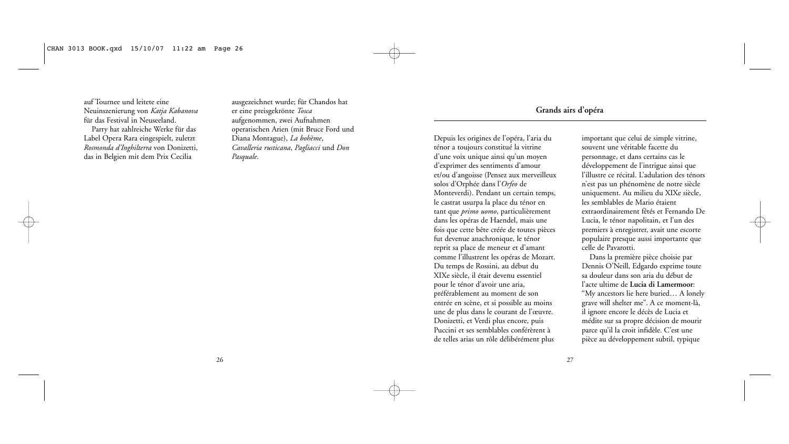auf Tournee und leitete eine Neuinszenierung von *Katja Kabanova* für das Festival in Neuseeland. Parry hat zahlreiche Werke für das Label Opera Rara eingespielt, zuletzt *Rosmonda d'Inghilterra* von Donizetti, das in Belgien mit dem Prix Cecilia

ausgezeichnet wurde; für Chandos hat er eine preisgekrönte *Tosca* aufgenommen, zwei Aufnahmen operatischen Arien (mit Bruce Ford und Diana Montague), *La bohème*, *Cavalleria rusticana*, *Pagliacci* und *Don Pasquale*.

# **Grands airs d'opéra**

Depuis les origines de l'opéra, l'aria du ténor a toujours constitué la vitrine d'une voix unique ainsi qu'un moyen d'exprimer des sentiments d'amour et/ou d'angoisse (Pensez aux merveilleux solos d'Orphée dans l'*Orfeo* de Monteverdi). Pendant un certain temps, le castrat usurpa la place du ténor en tant que *primo uomo*, particulièrement dans les opéras de Haendel, mais une fois que cette bête créée de toutes pièces fut devenue anachronique, le ténor reprit sa place de meneur et d'amant comme l'illustrent les opéras de Mozart. Du temps de Rossini, au début du XIXe siècle, il était devenu essentiel pour le ténor d'avoir une aria, préférablement au moment de son entrée en scène, et si possible au moins une de plus dans le courant de l'œuvre. Donizetti, et Verdi plus encore, puis Puccini et ses semblables conférèrent à de telles arias un rôle délibérément plus

important que celui de simple vitrine, souvent une véritable facette du personnage, et dans certains cas le développement de l'intrigue ainsi que l'illustre ce récital. L'adulation des ténors n'est pas un phénomène de notre siècle uniquement. Au milieu du XIXe siècle, les semblables de Mario étaient extraordinairement fêtés et Fernando De Lucia, le ténor napolitain, et l'un des premiers à enregistrer, avait une escorte populaire presque aussi importante que celle de Pavarotti.

Dans la première pièce choisie par Dennis O'Neill, Edgardo exprime toute sa douleur dans son aria du début de l'acte ultime de **Lucia di Lamermoor**: "My ancestors lie here buried… A lonely grave will shelter me". A ce moment-là, il ignore encore le décès de Lucia et médite sur sa propre décision de mourir parce qu'il la croit infidèle. C'est une pièce au développement subtil, typique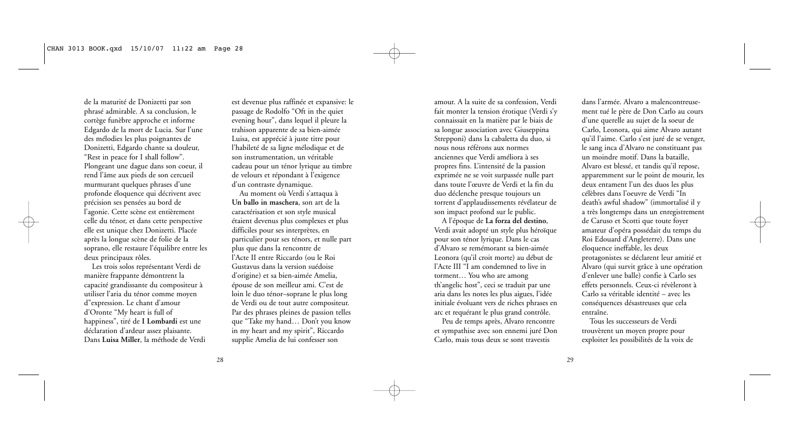de la maturité de Donizetti par son phrasé admirable. A sa conclusion, le cortège funèbre approche et informe Edgardo de la mort de Lucia. Sur l'une des mélodies les plus poignantes de Donizetti, Edgardo chante sa douleur, "Rest in peace for I shall follow". Plongeant une dague dans son coeur, il rend l'âme aux pieds de son cercueil murmurant quelques phrases d'une profonde éloquence qui décrivent avec précision ses pensées au bord de l'agonie. Cette scène est entièrement celle du ténor, et dans cette perspective elle est unique chez Donizetti. Placée après la longue scène de folie de la soprano, elle restaure l'équilibre entre les deux principaux rôles.

Les trois solos représentant Verdi de manière frappante démontrent la capacité grandissante du compositeur à utiliser l'aria du ténor comme moyen d"expression. Le chant d'amour d'Oronte "My heart is full of happiness", tiré de **I Lombardi** est une déclaration d'ardeur assez plaisante. Dans **Luisa Miller**, la méthode de Verdi

est devenue plus raffinée et expansive: le passage de Rodolfo "Oft in the quiet evening hour", dans lequel il pleure la trahison apparente de sa bien-aimée Luisa, est apprécié à juste titre pour l'habileté de sa ligne mélodique et de son instrumentation, un véritable cadeau pour un ténor lyrique au timbre de velours et répondant à l'exigence d'un contraste dynamique.

Au moment où Verdi s'attaqua à **Un ballo in maschera**, son art de la caractérisation et son style musical étaient devenus plus complexes et plus difficiles pour ses interprètes, en particulier pour ses ténors, et nulle part plus que dans la rencontre de l'Acte II entre Riccardo (ou le Roi Gustavus dans la version suédoise d'origine) et sa bien-aimée Amelia, épouse de son meilleur ami. C'est de loin le duo ténor–soprane le plus long de Verdi ou de tout autre compositeur. Par des phrases pleines de passion telles que "Take my hand… Don't you know in my heart and my spirit", Riccardo supplie Amelia de lui confesser son

amour. A la suite de sa confession, Verdi fait monter la tension érotique (Verdi s'y connaissait en la matière par le biais de sa longue association avec Giuseppina Strepponi) dans la cabaletta du duo, si nous nous référons aux normes anciennes que Verdi améliora à ses propres fins. L'intensité de la passion exprimée ne se voit surpassée nulle part dans toute l'œuvre de Verdi et la fin du duo déclenche presque toujours un torrent d'applaudissements révélateur de son impact profond sur le public.

A l'époque de **La forza del destino**, Verdi avait adopté un style plus héroïque pour son ténor lyrique. Dans le cas d'Alvaro se remémorant sa bien-aimée Leonora (qu'il croit morte) au début de l'Acte III "I am condemned to live in torment… You who are among th'angelic host", ceci se traduit par une aria dans les notes les plus aigues, l'idée initiale évoluant vers de riches phrases en arc et requérant le plus grand contrôle.

Peu de temps après, Alvaro rencontre et sympathise avec son ennemi juré Don Carlo, mais tous deux se sont travestis

dans l'armée. Alvaro a malencontreusement tué le père de Don Carlo au cours d'une querelle au sujet de la soeur de Carlo, Leonora, qui aime Alvaro autant qu'il l'aime. Carlo s'est juré de se venger, le sang inca d'Alvaro ne constituant pas un moindre motif. Dans la bataille, Alvaro est blessé, et tandis qu'il repose, apparemment sur le point de mourir, les deux entament l'un des duos les plus célèbres dans l'oeuvre de Verdi "In death's awful shadow" (immortalisé il y a très longtemps dans un enregistrement de Caruso et Scotti que toute foyer amateur d'opéra possédait du temps du Roi Edouard d'Angleterre). Dans une éloquence ineffable, les deux protagonistes se déclarent leur amitié et Alvaro (qui survit grâce à une opération d'enlever une balle) confie à Carlo ses effets personnels. Ceux-ci révèleront à Carlo sa véritable identité – avec les conséquences désastreuses que cela entraîne.

Tous les successeurs de Verdi trouvèrent un moyen propre pour exploiter les possibilités de la voix de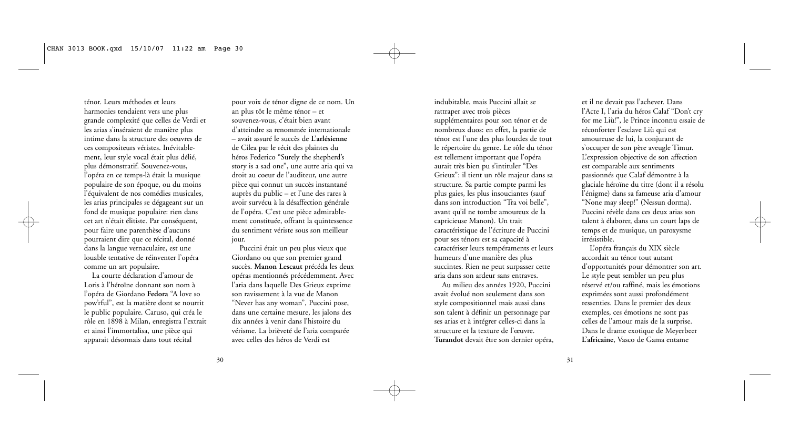ténor. Leurs méthodes et leurs harmonies tendaient vers une plus grande complexité que celles de Verdi et les arias s'inséraient de manière plus intime dans la structure des oeuvres de ces compositeurs véristes. Inévitablement, leur style vocal était plus délié, plus démonstratif. Souvenez-vous, l'opéra en ce temps-là était la musique populaire de son époque, ou du moins l'équivalent de nos comédies musicales, les arias principales se dégageant sur un fond de musique populaire: rien dans cet art n'était élitiste. Par conséquent, pour faire une parenthèse d'aucuns pourraient dire que ce récital, donné dans la langue vernaculaire, est une louable tentative de réinventer l'opéra comme un art populaire.

La courte déclaration d'amour de Loris à l'héroïne donnant son nom à l'opéra de Giordano **Fedora** "A love so pow'rful", est la matière dont se nourrit le public populaire. Caruso, qui créa le rôle en 1898 à Milan, enregistra l'extrait et ainsi l'immortalisa, une pièce qui apparait désormais dans tout récital

pour voix de ténor digne de ce nom. Un an plus tôt le même ténor – et souvenez-vous, c'était bien avant d'atteindre sa renommée internationale – avait assuré le succès de **L'arlésienne** de Cilea par le récit des plaintes du héros Federico "Surely the shepherd's story is a sad one", une autre aria qui va droit au coeur de l'auditeur, une autre pièce qui connut un succès instantané auprès du public – et l'une des rares à avoir survécu à la désaffection générale de l'opéra. C'est une pièce admirablement constituée, offrant la quintessence du sentiment vériste sous son meilleur jour.

Puccini était un peu plus vieux que Giordano ou que son premier grand succès. **Manon Lescaut** précéda les deux opéras mentionnés précédemment. Avec l'aria dans laquelle Des Grieux exprime son ravissement à la vue de Manon "Never has any woman", Puccini pose, dans une certaine mesure, les jalons des dix années à venir dans l'histoire du vérisme. La brièveté de l'aria comparée avec celles des héros de Verdi est

indubitable, mais Puccini allait se rattraper avec trois pièces supplémentaires pour son ténor et de nombreux duos: en effet, la partie de ténor est l'une des plus lourdes de tout le répertoire du genre. Le rôle du ténor est tellement important que l'opéra aurait très bien pu s'intituler "Des Grieux": il tient un rôle majeur dans sa structure. Sa partie compte parmi les plus gaies, les plus insouciantes (sauf dans son introduction "Tra voi belle", avant qu'il ne tombe amoureux de la capricieuse Manon). Un trait caractéristique de l'écriture de Puccini pour ses ténors est sa capacité à caractériser leurs tempéraments et leurs humeurs d'une manière des plus succintes. Rien ne peut surpasser cette aria dans son ardeur sans entraves.

Au milieu des années 1920, Puccini avait évolué non seulement dans son style compositionnel mais aussi dans son talent à définir un personnage par ses arias et à intégrer celles-ci dans la structure et la texture de l'œuvre. **Turandot** devait être son dernier opéra, et il ne devait pas l'achever. Dans l'Acte I, l'aria du héros Calaf "Don't cry for me Liù!", le Prince inconnu essaie de réconforter l'esclave Liù qui est amoureuse de lui, la conjurant de s'occuper de son père aveugle Timur. L'expression objective de son affection est comparable aux sentiments passionnés que Calaf démontre à la glaciale héroïne du titre (dont il a résolu l'énigme) dans sa fameuse aria d'amour "None may sleep!" (Nessun dorma). Puccini révèle dans ces deux arias son talent à élaborer, dans un court laps de temps et de musique, un paroxysme irrésistible.

L'opéra français du XIX siècle accordait au ténor tout autant d'opportunités pour démontrer son art. Le style peut sembler un peu plus réservé et/ou raffiné, mais les émotions exprimées sont aussi profondément ressenties. Dans le premier des deux exemples, ces émotions ne sont pas celles de l'amour mais de la surprise. Dans le drame exotique de Meyerbeer **L'africaine**, Vasco de Gama entame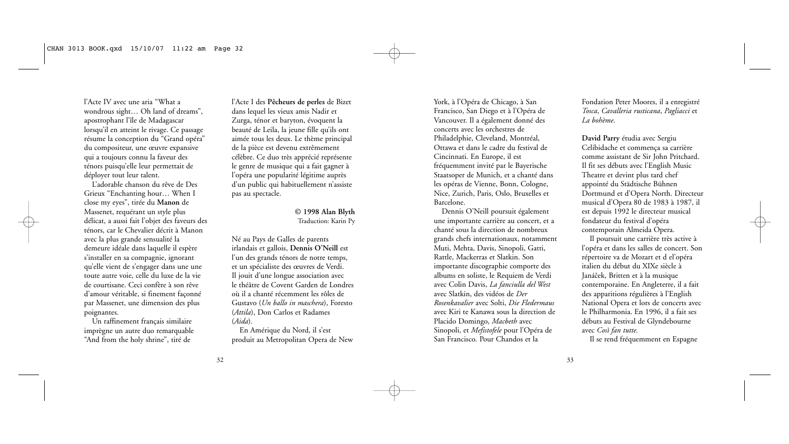l'Acte IV avec une aria "What a wondrous sight… Oh land of dreams", apostrophant l'île de Madagascar lorsqu'il en atteint le rivage. Ce passage résume la conception du "Grand opéra" du compositeur, une œuvre expansive qui a toujours connu la faveur des ténors puisqu'elle leur permettait de déployer tout leur talent.

L'adorable chanson du rêve de Des Grieux "Enchanting hour… When I close my eyes", tirée du **Manon** de Massenet, requérant un style plus délicat, a aussi fait l'objet des faveurs des ténors, car le Chevalier décrit à Manon avec la plus grande sensualité la demeure idéale dans laquelle il espère s'installer en sa compagnie, ignorant qu'elle vient de s'engager dans une une toute autre voie, celle du luxe de la vie de courtisane. Ceci confère à son rêve d'amour véritable, si finement façonné par Massenet, une dimension des plus poignantes.

Un raffinement français similaire imprègne un autre duo remarquable "And from the holy shrine", tiré de

l'Acte I des **Pêcheurs de perles** de Bizet dans lequel les vieux amis Nadir et Zurga, ténor et baryton, évoquent la beauté de Leila, la jeune fille qu'ils ont aimée tous les deux. Le thème principal de la pièce est devenu extrêmement célèbre. Ce duo très apprécié représente le genre de musique qui a fait gagner à l'opéra une popularité légitime auprès d'un public qui habituellement n'assiste pas au spectacle.

#### **© 1998 Alan Blyth** Traduction: Karin Py

Né au Pays de Galles de parents irlandais et gallois, **Dennis O'Neill** est l'un des grands ténors de notre temps, et un spécialiste des œuvres de Verdi. Il jouit d'une longue association avec le théâtre de Covent Garden de Londres où il a chanté récemment les rôles de Gustavo (*Un ballo in maschera*), Foresto (*Attila*), Don Carlos et Radames (*Aida*).

En Amérique du Nord, il s'est produit au Metropolitan Opera de New

York, à l'Opéra de Chicago, à San Francisco, San Diego et à l'Opéra de Vancouver. Il a également donné des concerts avec les orchestres de Philadelphie, Cleveland, Montréal, Ottawa et dans le cadre du festival de Cincinnati. En Europe, il est fréquemment invité par le Bayerische Staatsoper de Munich, et a chanté dans les opéras de Vienne, Bonn, Cologne, Nice, Zurich, Paris, Oslo, Bruxelles et Barcelone.

Dennis O'Neill poursuit également une importante carrière au concert, et a chanté sous la direction de nombreux grands chefs internationaux, notamment Muti, Mehta, Davis, Sinopoli, Gatti, Rattle, Mackerras et Slatkin. Son importante discographie comporte des albums en soliste, le Requiem de Verdi avec Colin Davis, *La fanciulla del West* avec Slatkin, des vidéos de *Der Rosenkavalier* avec Solti, *Die Fledermaus* avec Kiri te Kanawa sous la direction de Placido Domingo, *Macbeth* avec Sinopoli, et *Mefistofele* pour l'Opéra de San Francisco. Pour Chandos et la

Fondation Peter Moores, il a enregistré *Tosca*, *Cavalleria rusticana*, *Pagliacci* et *La bohème*.

**David Parry** étudia avec Sergiu Celibidache et commença sa carrière comme assistant de Sir John Pritchard. Il fit ses débuts avec l'English Music Theatre et devint plus tard chef appointé du Städtische Bühnen Dortmund et d'Opera North. Directeur musical d'Opera 80 de 1983 à 1987, il est depuis 1992 le directeur musical fondateur du festival d'opéra contemporain Almeida Opera.

Il poursuit une carrière très active à l'opéra et dans les salles de concert. Son répertoire va de Mozart et d el'opéra italien du début du XIXe siècle à Janáček, Britten et à la musique contemporaine. En Angleterre, il a fait des apparitions régulières à l'English National Opera et lors de concerts avec le Philharmonia. En 1996, il a fait ses débuts au Festival de Glyndebourne avec *Così fan tutte.*

Il se rend fréquemment en Espagne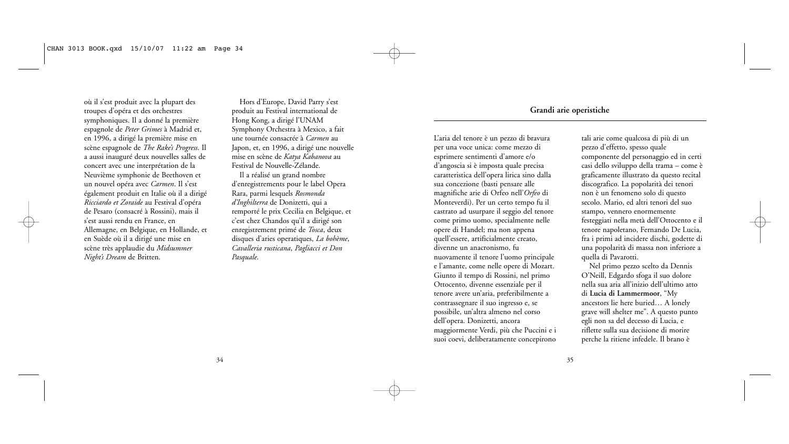où il s'est produit avec la plupart des troupes d'opéra et des orchestres symphoniques. Il a donné la première espagnole de *Peter Grimes* à Madrid et, en 1996, a dirigé la première mise en scène espagnole de *The Rake's Progress*. Il a aussi inauguré deux nouvelles salles de concert avec une interprétation de la Neuvième symphonie de Beethoven et un nouvel opéra avec *Carmen*. Il s'est également produit en Italie où il a dirigé *Ricciardo et Zoraide* au Festival d'opéra de Pesaro (consacré à Rossini), mais il s'est aussi rendu en France, en Allemagne, en Belgique, en Hollande, et en Suède où il a dirigé une mise en scène très applaudie du *Midsummer Night's Dream* de Britten.

Hors d'Europe, David Parry s'est produit au Festival international de Hong Kong, a dirigé l'UNAM Symphony Orchestra à Mexico, a fait une tournée consacrée à *Carmen* au Japon, et, en 1996, a dirigé une nouvelle mise en scène de *Katya Kabanova* au Festival de Nouvelle-Zélande.

Il a réalisé un grand nombre d'enregistrements pour le label Opera Rara, parmi lesquels *Rosmonda d'Inghilterra* de Donizetti, qui a remporté le prix Cecilia en Belgique, et c'est chez Chandos qu'il a dirigé son enregistrement primé de *Tosca*, deux disques d'aries operatiques, *La bohème*, *Cavalleria rusticana*, *Pagliacci et Don Pasquale*.

# **Grandi arie operistiche**

L'aria del tenore è un pezzo di bravura per una voce unica: come mezzo di esprimere sentimenti d'amore e/o d'angoscia si è imposta quale precisa caratteristica dell'opera lirica sino dalla sua concezione (basti pensare alle magnifiche arie di Orfeo nell'*Orfeo* di Monteverdi). Per un certo tempo fu il castrato ad usurpare il seggio del tenore come primo uomo, specialmente nelle opere di Handel; ma non appena quell'essere, artificialmente creato, divenne un anacronismo, fu nuovamente il tenore l'uomo principale e l'amante, come nelle opere di Mozart. Giunto il tempo di Rossini, nel primo Ottocento, divenne essenziale per il tenore avere un'aria, preferibilmente a contrassegnare il suo ingresso e, se possibile, un'altra almeno nel corso dell'opera. Donizetti, ancora maggiormente Verdi, più che Puccini e i suoi coevi, deliberatamente concepirono

tali arie come qualcosa di più di un pezzo d'effetto, spesso quale componente del personaggio ed in certi casi dello sviluppo della trama – come è graficamente illustrato da questo recital discografico. La popolarità dei tenori non è un fenomeno solo di questo secolo. Mario, ed altri tenori del suo stampo, vennero enormemente festeggiati nella metà dell'Ottocento e il tenore napoletano, Fernando De Lucia, fra i primi ad incidere dischi, godette di una popolarità di massa non inferiore a quella di Pavarotti.

Nel primo pezzo scelto da Dennis O'Neill, Edgardo sfoga il suo dolore nella sua aria all'inizio dell'ultimo atto di **Lucia di Lammermoor**, "My ancestors lie here buried… A lonely grave will shelter me". A questo punto egli non sa del decesso di Lucia, e riflette sulla sua decisione di morire perche la ritiene infedele. Il brano è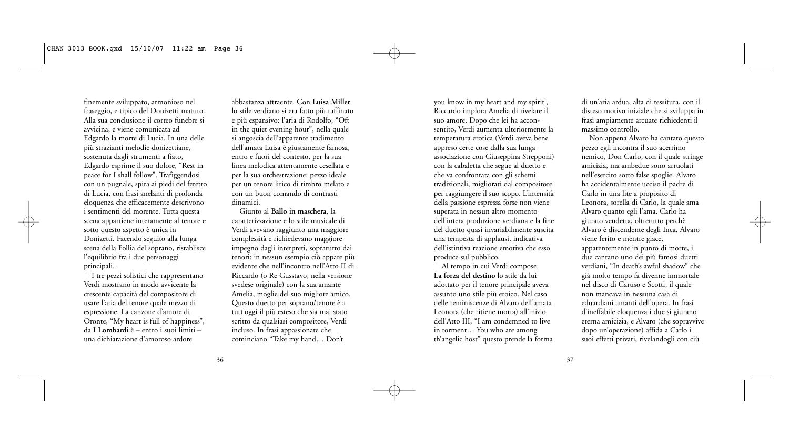finemente sviluppato, armonioso nel fraseggio, e tipico del Donizetti maturo. Alla sua conclusione il corteo funebre si avvicina, e viene comunicata ad Edgardo la morte di Lucia. In una delle più strazianti melodie donizettiane, sostenuta dagli strumenti a fiato, Edgardo esprime il suo dolore, "Rest in peace for I shall follow". Trafiggendosi con un pugnale, spira ai piedi del feretro di Lucia, con frasi anelanti di profonda eloquenza che efficacemente descrivono i sentimenti del morente. Tutta questa scena appartiene interamente al tenore e sotto questo aspetto è unica in Donizetti. Facendo seguito alla lunga scena della Follia del soprano, ristablisce l'equilibrio fra i due personaggi principali.

I tre pezzi solistici che rappresentano Verdi mostrano in modo avvicente la crescente capacità del compositore di usare l'aria del tenore quale mezzo di espressione. La canzone d'amore di Oronte, "My heart is full of happiness", da **I Lombardi** è – entro i suoi limiti – una dichiarazione d'amoroso ardore

abbastanza attraente. Con **Luisa Miller** lo stile verdiano si era fatto più raffinato e più espansivo: l'aria di Rodolfo, "Oft in the quiet evening hour", nella quale si angoscia dell'apparente tradimento dell'amata Luisa è giustamente famosa, entro e fuori del contesto, per la sua linea melodica attentamente cesellata e per la sua orchestrazione: pezzo ideale per un tenore lirico di timbro melato e con un buon comando di contrasti dinamici.

Giunto al **Ballo in maschera**, la caratterizzazione e lo stile musicale di Verdi avevano raggiunto una maggiore complessità e richiedevano maggiore impegno dagli interpreti, sopratutto dai tenori: in nessun esempio ciò appare più evidente che nell'incontro nell'Atto II di Riccardo (o Re Gusstavo, nella versione svedese originale) con la sua amante Amelia, moglie del suo migliore amico. Questo duetto per soprano/tenore è a tutt'oggi il più esteso che sia mai stato scritto da qualsiasi compositore, Verdi incluso. In frasi appassionate che cominciano "Take my hand… Don't

you know in my heart and my spirit', Riccardo implora Amelia di rivelare il suo amore. Dopo che lei ha acconsentito, Verdi aumenta ulteriormente la temperatura erotica (Verdi aveva bene appreso certe cose dalla sua lunga associazione con Giuseppina Strepponi) con la cabaletta che segue al duetto e che va confrontata con gli schemi tradizionali, migliorati dal compositore per raggiungere il suo scopo. L'intensità della passione espressa forse non viene superata in nessun altro momento dell'intera produzione verdiana e la fine del duetto quasi invariabilmente suscita una tempesta di applausi, indicativa dell'istintiva reazione emotiva che esso produce sul pubblico.

Al tempo in cui Verdi compose **La forza del destino** lo stile da lui adottato per il tenore principale aveva assunto uno stile più eroico. Nel caso delle reminiscenze di Alvaro dell'amata Leonora (che ritiene morta) all'inizio dell'Atto III, "I am condemned to live in torment… You who are among th'angelic host" questo prende la forma di un'aria ardua, alta di tessitura, con il disteso motivo iniziale che si sviluppa in frasi ampiamente arcuate richiedenti il massimo controllo.

Non appena Alvaro ha cantato questo pezzo egli incontra il suo acerrimo nemico, Don Carlo, con il quale stringe amicizia, ma ambedue sono arruolati nell'esercito sotto false spoglie. Alvaro ha accidentalmente ucciso il padre di Carlo in una lite a proposito di Leonora, sorella di Carlo, la quale ama Alvaro quanto egli l'ama. Carlo ha giurato vendetta, oltretutto perchè Alvaro è discendente degli Inca. Alvaro viene ferito e mentre giace, apparentemente in punto di morte, i due cantano uno dei più famosi duetti verdiani, "In death's awful shadow" che già molto tempo fa divenne immortale nel disco di Caruso e Scotti, il quale non mancava in nessuna casa di eduardiani amanti dell'opera. In frasi d'ineffabile eloquenza i due si giurano eterna amicizia, e Alvaro (che sopravvive dopo un'operazione) affida a Carlo i suoi effetti privati, rivelandogli con ciù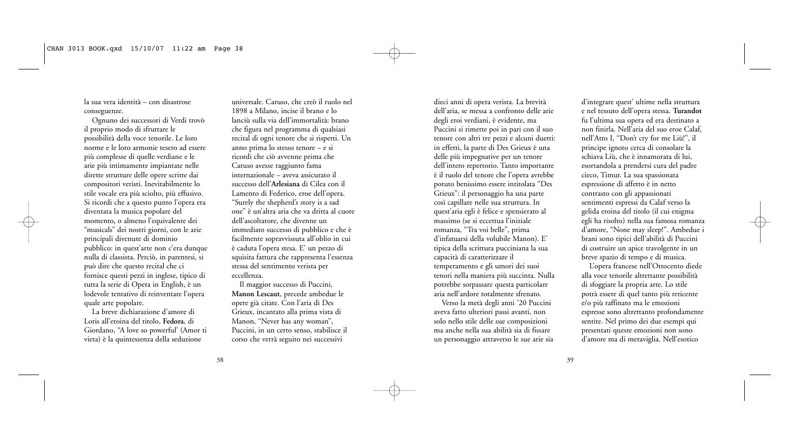la sua vera identità – con disastrose conseguenze.

Ognuno dei successori di Verdi trovò il proprio modo di sfruttare le possibilità della voce tenorile. Le loro norme e le loro armonie tesero ad essere più complesse di quelle verdiane e le arie più intimamente impiantate nelle dirette strutture delle opere scritte dai compositori veristi. Inevitabilmente lo stile vocale era più sciolto, più effusivo. Si ricordi che a questo punto l'opera era diventata la musica popolare del momento, o almeno l'equivalente dei "musicals" dei nostri giorni, con le arie principali divenute di dominio pubblico: in quest'arte non c'era dunque nulla di classista. Perciò, in parentesi, si può dire che questo recital che ci fornisce questi pezzi in inglese, tipico di tutta la serie di Opera in English, è un lodevole tentativo di reinventare l'opera quale arte popolare.

La breve dichiarazione d'amore di Loris all'eroina del titolo, **Fedora**, di Giordano, "A love so powerful' (Amor ti vieta) è la quintessenza della seduzione

universale. Caruso, che creò il ruolo nel 1898 a Milano, incise il brano e lo lanciù sulla via dell'immortalità: brano che figura nel programma di qualsiasi recital di ogni tenore che si rispetti. Un anno prima lo stesso tenore – e si ricordi che ciò avvenne prima che Caruso avesse raggiunto fama internazionale – aveva assicurato il successo dell'**Arlesiana** di Cilea con il Lamento di Federico, eroe dell'opera. "Surely the shepherd's story is a sad one" è un'altra aria che va dritta al cuore dell'ascoltatore, che divenne un immediato successo di pubblico e che è facilmente sopravvissuta all'oblio in cui è caduta l'opera stesa. E' un pezzo di squisita fattura che rappresenta l'essenza stessa del sentimento verista per eccellenza.

Il maggior successo di Puccini, **Manon Lescaut**, precede ambedue le opere già citate. Con l'aria di Des Grieux, incantato alla prima vista di Manon, "Never has any woman", Puccini, in un certo senso, stabilisce il corso che verrà seguito nei successivi

dieci anni di opera verista. La brevità dell'aria, se messa a confronto delle arie degli eroi verdiani, è evidente, ma Puccini si rimette poi in pari con il suo tenore con altri tre pezzi e alcuni duetti: in effetti, la parte di Des Grieux è una delle più impegnative per un tenore dell'intero repertorio. Tanto importante è il ruolo del tenore che l'opera avrebbe potuto benissimo essere intitolata "Des Grieux": il personaggio ha una parte così capillare nelle sua struttura. In quest'aria egli è felice e spensierato al massimo (se si eccettua l'iniziale romanza, "Tra voi belle", prima d'infatuarsi della volubile Manon). E' tipica della scrittura pucciniana la sua capacità di caratterizzare il temperamento e gli umori dei suoi tenori nella maniera più succinta. Nulla potrebbe sorpassare questa particolare aria nell'ardore totalmente sfrenato.

Verso la metà degli anni '20 Puccini aveva fatto ulteriori passi avanti, non solo nello stile delle sue composizioni ma anche nella sua abilità sia di fissare un personaggio attraverso le sue arie sia d'integrare quest' ultime nella struttura e nel tessuto dell'opera stessa. **Turandot** fu l'ultima sua opera ed era destinato a non finirla. Nell'aria del suo eroe Calaf, nell'Atto I, "Don't cry for me Liù!", il principe ignoto cerca di consolare la schiava Liù, che è innamorata di lui, esortandola a prendersi cura del padre cieco, Timur. La sua spassionata espressione di affetto è in netto contrasto con gli appassionati sentimenti espressi da Calaf verso la gelida eroina del titolo (il cui enigma egli ha risolto) nella sua famosa romanza d'amore, "None may sleep!". Ambedue i brani sono tipici dell'abilità di Puccini di costruire un apice travolgente in un breve spazio di tempo e di musica.

L'opera francese nell'Ottocento diede alla voce tenorile altrettante possibilità di sfoggiare la propria arte. Lo stile potrà essere di quel tanto più reticente e/o più raffinato ma le emozioni espresse sono altrettanto profondamente sentite. Nel primo dei due esempi qui presentati queste emozioni non sono d'amore ma di meraviglia. Nell'esotico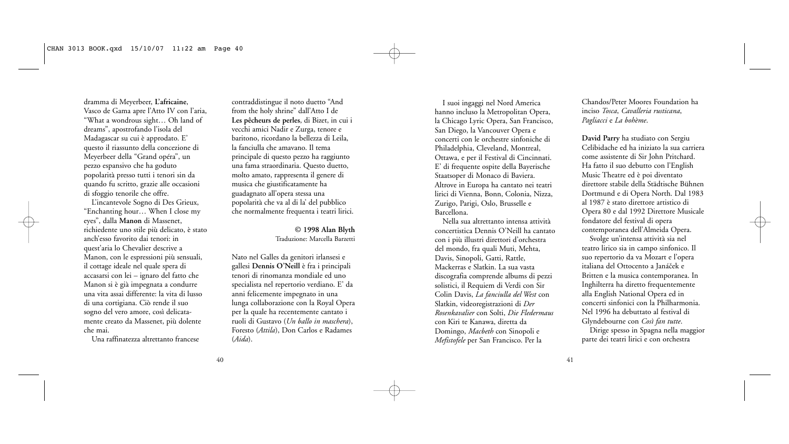dramma di Meyerbeer, **L'africaine**, Vasco de Gama apre l'Atto IV con l'aria, "What a wondrous sight… Oh land of dreams", apostrofando l'isola del Madagascar su cui è approdato. E' questo il riassunto della concezione di Meyerbeer della "Grand opéra", un pezzo espansivo che ha goduto popolarità presso tutti i tenori sin da quando fu scritto, grazie alle occasioni di sfoggio tenorile che offre.

L'incantevole Sogno di Des Grieux, "Enchanting hour… When I close my eyes", dalla **Manon** di Massenet, richiedente uno stile più delicato, è stato anch'esso favorito dai tenori: in quest'aria lo Chevalier descrive a Manon, con le espressioni più sensuali, il cottage ideale nel quale spera di accasarsi con lei – ignaro del fatto che Manon si è già impegnata a condurre una vita assai differente: la vita di lusso di una cortigiana. Ciò rende il suo sogno del vero amore, così delicatamente creato da Massenet, più dolente che mai.

Una raffinatezza altrettanto francese

contraddistingue il noto duetto "And from the holy shrine" dall'Atto I de **Les pêcheurs de perles**, di Bizet, in cui i vecchi amici Nadir e Zurga, tenore e baritono, ricordano la bellezza di Leila, la fanciulla che amavano. Il tema principale di questo pezzo ha raggiunto una fama straordinaria. Questo duetto, molto amato, rappresenta il genere di musica che giustificatamente ha guadagnato all'opera stessa una popolarità che va al di la' del pubblico che normalmente frequenta i teatri lirici.

### **© 1998 Alan Blyth** Traduzione: Marcella Barzetti

Nato nel Galles da genitori irlansesi e gallesi **Dennis O'Neill** è fra i principali tenori di rinomanza mondiale ed uno specialista nel repertorio verdiano. E' da anni felicemente impegnato in una lunga collaborazione con la Royal Opera per la quale ha recentemente cantato i ruoli di Gustavo (*Un ballo in maschera*), Foresto (*Attila*), Don Carlos e Radames (*Aida*).

I suoi ingaggi nel Nord America hanno incluso la Metropolitan Opera, la Chicago Lyric Opera, San Francisco, San Diego, la Vancouver Opera e concerti con le orchestre sinfoniche di Philadelphia, Cleveland, Montreal, Ottawa, e per il Festival di Cincinnati. E' di frequente ospite della Bayerische Staatsoper di Monaco di Baviera. Altrove in Europa ha cantato nei teatri lirici di Vienna, Bonn, Colonia, Nizza, Zurigo, Parigi, Oslo, Brusselle e Barcellona.

Nella sua altrettanto intensa attività concertistica Dennis O'Neill ha cantato con i più illustri direttori d'orchestra del mondo, fra quali Muti, Mehta, Davis, Sinopoli, Gatti, Rattle, Mackerras e Slatkin. La sua vasta discografia comprende albums di pezzi solistici, il Requiem di Verdi con Sir Colin Davis, *La fanciulla del West* con Slatkin, videoregistrazioni di *Der Rosenkavalier* con Solti, *Die Fledermaus* con Kiri te Kanawa, diretta da Domingo, *Macbeth* con Sinopoli e *Mefistofele* per San Francisco. Per la

Chandos/Peter Moores Foundation ha inciso *Tosca*, *Cavalleria rusticana*, *Pagliacci* e *La bohème*.

**David Parry** ha studiato con Sergiu Celibidache ed ha iniziato la sua carriera come assistente di Sir John Pritchard. Ha fatto il suo debutto con l'English Music Theatre ed è poi diventato direttore stabile della Städtische Bühnen Dortmund e di Opera North. Dal 1983 al 1987 è stato direttore artistico di Opera 80 e dal 1992 Direttore Musicale fondatore del festival di opera contemporanea dell'Almeida Opera.

Svolge un'intensa attività sia nel teatro lirico sia in campo sinfonico. Il suo repertorio da va Mozart e l'opera italiana del Ottocento a Janáček e Britten e la musica contemporanea. In Inghilterra ha diretto frequentemente alla English National Opera ed in concerti sinfonici con la Philharmonia. Nel 1996 ha debuttato al festival di Glyndebourne con *Così fan tutte*.

Dirige spesso in Spagna nella maggior parte dei teatri lirici e con orchestra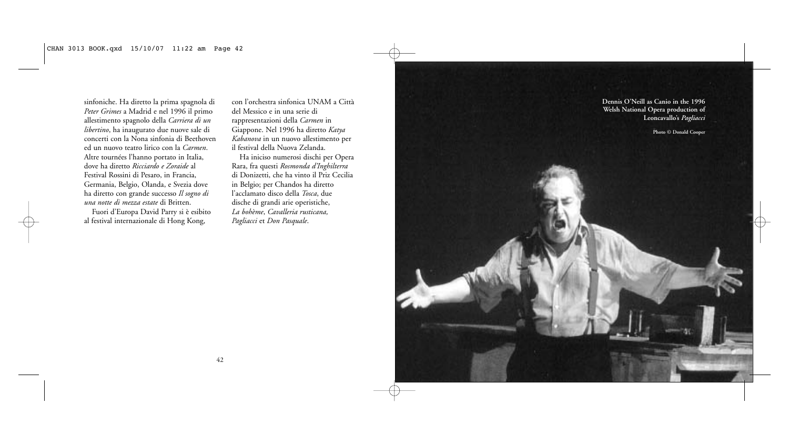sinfoniche. Ha diretto la prima spagnola di *Peter Grimes* a Madrid e nel 1996 il primo allestimento spagnolo della *Carriera di un libertino*, ha inaugurato due nuove sale di concerti con la Nona sinfonia di Beethoven ed un nuovo teatro lirico con la *Carmen*. Altre tournées l'hanno portato in Italia, dove ha diretto *Ricciardo e Zoraide* al Festival Rossini di Pesaro, in Francia, Germania, Belgio, Olanda, e Svezia dove ha diretto con grande successo *Il sogno di una notte di mezza estate* di Britten.

Fuori d'Europa David Parry si è esibito al festival internazionale di Hong Kong,

con l'orchestra sinfonica UNAM a Città del Messico e in una serie di rappresentazioni della *Carmen* in Giappone. Nel 1996 ha diretto *Katya Kabanova* in un nuovo allestimento per il festival della Nuova Zelanda.

Ha iniciso numerosi dischi per Opera Rara, fra questi *Rosmonda d'Inghilterra* di Donizetti, che ha vinto il Priz Cecilia in Belgio; per Chandos ha diretto l'acclamato disco della *Tosca*, due dische di grandi arie operistiche, *La bohème*, *Cavalleria rusticana, Pagliacci* et *Don Pasquale*.

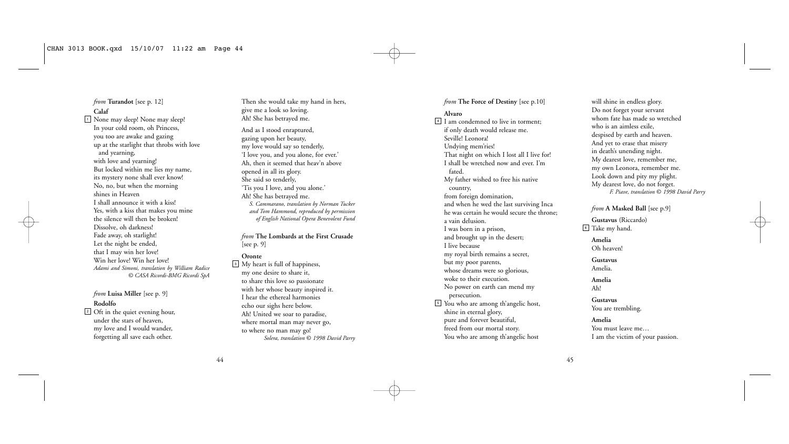*from* **Turandot** [see p. 12] **Calaf** None may sleep! None may sleep! 1 In your cold room, oh Princess, you too are awake and gazing up at the starlight that throbs with love and yearning, with love and yearning! But locked within me lies my name, its mystery none shall ever know! No, no, but when the morning shines in Heaven I shall announce it with a kiss! Yes, with a kiss that makes you mine the silence will then be broken! Dissolve, oh darkness! Fade away, oh starlight! Let the night be ended, that I may win her love! Win her love! Win her love! *Adami and Simoni, translation by William Radice © CASA Ricordi-BMG Ricordi SpA*

*from* **Luisa Miller** [see p. 9] **Rodolfo**

Oft in the quiet evening hour, 2 under the stars of heaven, my love and I would wander, forgetting all save each other.

Then she would take my hand in hers, give me a look so loving. Ah! She has betrayed me.

And as I stood enraptured, gazing upon her beauty, my love would say so tenderly, 'I love you, and you alone, for ever.' Ah, then it seemed that heav'n above opened in all its glory. She said so tenderly, 'Tis you I love, and you alone.' Ah! She has betrayed me. *S. Cammarano, translation by Norman Tucker and Tom Hammond, reproduced by permission of English National Opera Benevolent Fund*

*from* **The Lombards at the First Crusade** [see p. 9]

#### **Oronte**

My heart is full of happiness, 3 my one desire to share it, to share this love so passionate with her whose beauty inspired it. I hear the ethereal harmonies echo our sighs here below. Ah! United we soar to paradise, where mortal man may never go, to where no man may go! *Solera, translation* © *1998 David Parry*

#### *from* The Force of Destiny [see p.10]

#### **Alvaro**

I am condemned to live in torment; 4 if only death would release me. Seville! Leonora! Undying mem'ries! That night on which I lost all I live for! I shall be wretched now and ever. I'm fated. My father wished to free his native country, from foreign domination, and when he wed the last surviving Inca he was certain he would secure the throne; a vain delusion. I was born in a prison, and brought up in the desert; I live because my royal birth remains a secret, but my poor parents, whose dreams were so glorious, woke to their execution. No power on earth can mend my persecution. You who are among th'angelic host, 5 shine in eternal glory, pure and forever beautiful, freed from our mortal story. You who are among th'angelic host

will shine in endless glory. Do not forget your servant whom fate has made so wretched who is an aimless exile, despised by earth and heaven. And yet to erase that misery in death's unending night. My dearest love, remember me, my own Leonora, remember me. Look down and pity my plight. My dearest love, do not forget. *F. Piave, translation* © *1998 David Parry*

*from* **A Masked Ball** [see p.9]

**Gustavus** (Riccardo) Take my hand. 6

**Amelia** Oh heaven!

**Gustavus** Amelia.

**Amelia**

Ah!

**Gustavus** You are trembling.

**Amelia** You must leave me…

I am the victim of your passion.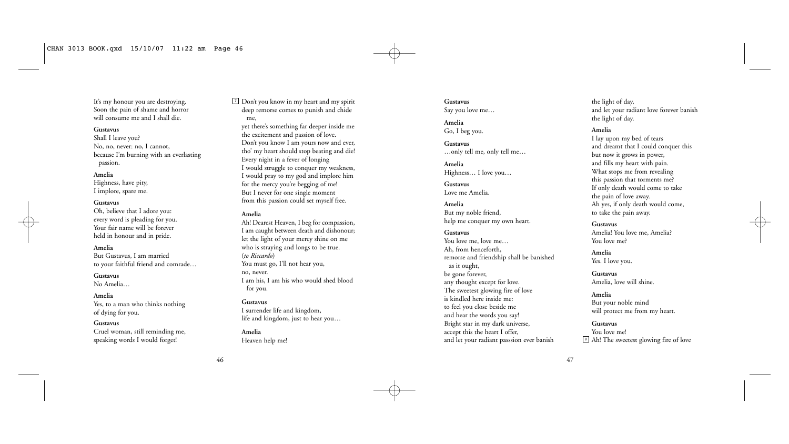It's my honour you are destroying. Soon the pain of shame and horror will consume me and I shall die.

#### **Gustavus**

Shall I leave you? No, no, never: no, I cannot, because I'm burning with an everlasting passion.

#### **Amelia**

Highness, have pity, I implore, spare me.

#### **Gustavus**

Oh, believe that I adore you: every word is pleading for you. Your fair name will be forever held in honour and in pride.

#### **Amelia**

But Gustavus, I am married to your faithful friend and comrade…

**Gustavus** No Amelia…

#### **Amelia**

Yes, to a man who thinks nothing of dying for you.

#### **Gustavus**

Cruel woman, still reminding me, speaking words I would forget!

Don't you know in my heart and my spirit 7 deep remorse comes to punish and chide me, yet there's something far deeper inside me the excitement and passion of love. Don't you know I am yours now and ever, tho' my heart should stop beating and die! Every night in a fever of longing I would struggle to conquer my weakness, I would pray to my god and implore him for the mercy you're begging of me! But I never for one single moment from this passion could set myself free.

#### **Amelia**

Ah! Dearest Heaven, I beg for compassion, I am caught between death and dishonour; let the light of your mercy shine on me who is straying and longs to be true. (*to Riccardo*) You must go, I'll not hear you, no, never. I am his, I am his who would shed blood for you.

#### **Gustavus**

I surrender life and kingdom, life and kingdom, just to hear you…

#### **Amelia**

Heaven help me!

#### **Gustavus** Say you love me…

**Amelia** Go, I beg you.

**Gustavus** …only tell me, only tell me…

**Amelia** Highness… I love you…

**Gustavus** Love me Amelia.

**Amelia** But my noble friend, help me conquer my own heart.

#### **Gustavus**

You love me, love me… Ah, from henceforth, remorse and friendship shall be banished as it ought, be gone forever, any thought except for love. The sweetest glowing fire of love is kindled here inside me: to feel you close beside me and hear the words you say! Bright star in my dark universe, accept this the heart I offer, and let your radiant passsion ever banish

the light of day, and let your radiant love forever banish the light of day.

#### **Amelia**

I lay upon my bed of tears and dreamt that I could conquer this but now it grows in power, and fills my heart with pain. What stops me from revealing this passion that torments me? If only death would come to take the pain of love away. Ah yes, if only death would come, to take the pain away.

**Gustavus** Amelia! You love me, Amelia? You love me?

**Amelia** Yes. I love you.

**Gustavus** Amelia, love will shine.

**Amelia** But your noble mind will protect me from my heart.

#### **Gustavus**

You love me! <sup>8</sup> Ah! The sweetest glowing fire of love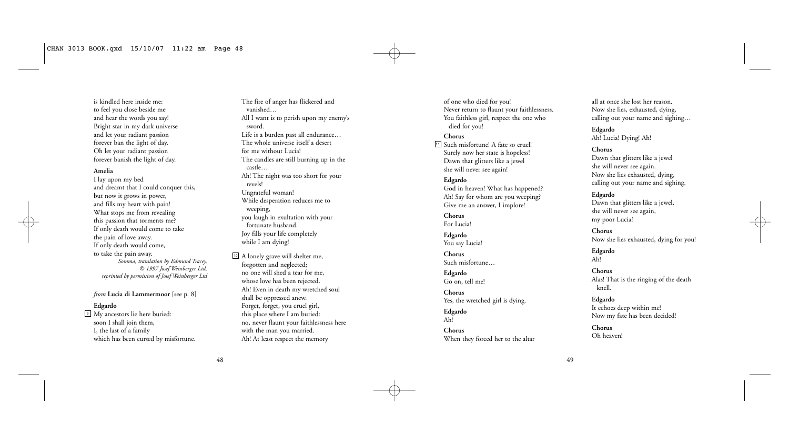is kindled here inside me: to feel you close beside me and hear the words you say! Bright star in my dark universe and let your radiant passion forever ban the light of day. Oh let your radiant passion forever banish the light of day.

#### **Amelia**

I lay upon my bed and dreamt that I could conquer this, but now it grows in power, and fills my heart with pain! What stops me from revealing this passion that torments me? If only death would come to take the pain of love away. If only death would come, to take the pain away. *Somma, translation by Edmund Tracey, © 1997 Josef Weinberger Ltd, reprinted by permission of Josef Weinberger Ltd*

*from* **Lucia di Lammermoor** [see p. 8]

#### **Edgardo**

My ancestors lie here buried: 9 soon I shall join them, I, the last of a family which has been cursed by misfortune.

The fire of anger has flickered and vanished… All I want is to perish upon my enemy's sword. Life is a burden past all endurance… The whole universe itself a desert for me without Lucia! The candles are still burning up in the castle… Ah! The night was too short for your revels! Ungrateful woman! While desperation reduces me to weeping, you laugh in exultation with your fortunate husband. Joy fills your life completely while I am dying!

A lonely grave will shelter me, 10 forgotten and neglected; no one will shed a tear for me, whose love has been rejected. Ah! Even in death my wretched soul shall be oppressed anew. Forget, forget, you cruel girl, this place where I am buried: no, never flaunt your faithlessness here with the man you married. Ah! At least respect the memory

of one who died for you! Never return to flaunt your faithlessness. You faithless girl, respect the one who died for you!

#### **Chorus**

Such misfortune! A fate so cruel! 11 Surely now her state is hopeless! Dawn that glitters like a jewel she will never see again!

#### **Edgardo**

God in heaven! What has happened? Ah! Say for whom are you weeping? Give me an answer, I implore!

**Chorus** For Lucia!

**Edgardo** You say Lucia!

**Chorus** Such misfortune…

**Edgardo** Go on, tell me!

#### **Chorus** Yes, the wretched girl is dying.

**Edgardo** Ah!

> **Chorus** When they forced her to the altar

all at once she lost her reason. Now she lies, exhausted, dying, calling out your name and sighing…

**Edgardo** Ah! Lucia! Dying! Ah!

#### **Chorus**

Dawn that glitters like a jewel she will never see again. Now she lies exhausted, dying, calling out your name and sighing.

### **Edgardo**

Dawn that glitters like a jewel, she will never see again, my poor Lucia?

**Chorus** Now she lies exhausted, dying for you!

**Edgardo** Ah!

**Chorus** Alas! That is the ringing of the death knell.

**Edgardo** It echoes deep within me! Now my fate has been decided!

**Chorus** Oh heaven!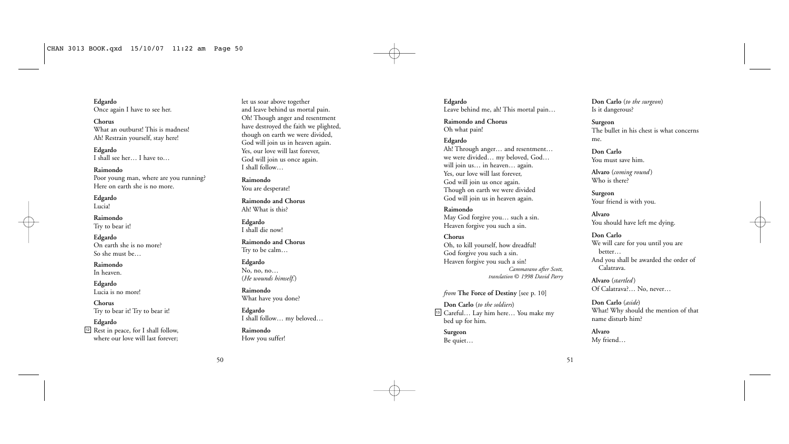**Edgardo** Once again I have to see her.

**Chorus** What an outburst! This is madness! Ah! Restrain yourself, stay here!

**Edgardo** I shall see her… I have to…

**Raimondo** Poor young man, where are you running? Here on earth she is no more.

**Edgardo** Lucia!

**Raimondo** Try to bear it!

**Edgardo** On earth she is no more? So she must be…

**Raimondo** In heaven.

**Edgardo** Lucia is no more!

**Chorus** Try to bear it! Try to bear it!

**Edgardo** Rest in peace, for I shall follow, 12 where our love will last forever; let us soar above together and leave behind us mortal pain. Oh! Though anger and resentment have destroyed the faith we plighted, though on earth we were divided, God will join us in heaven again. Yes, our love will last forever, God will join us once again. I shall follow…

**Raimondo** You are desperate!

**Raimondo and Chorus** Ah! What is this?

**Edgardo** I shall die now!

**Raimondo and Chorus** Try to be calm…

**Edgardo** No, no, no… (*He wounds himself.*)

**Raimondo** What have you done?

**Edgardo** I shall follow… my beloved…

**Raimondo** How you suffer!

**Edgardo** Leave behind me, ah! This mortal pain…

**Raimondo and Chorus** Oh what pain!

# **Edgardo**

Ah! Through anger… and resentment… we were divided… my beloved, God… will join us… in heaven… again. Yes, our love will last forever, God will join us once again. Though on earth we were divided God will join us in heaven again.

**Raimondo** May God forgive you… such a sin. Heaven forgive you such a sin.

#### **Chorus** Oh, to kill yourself, how dreadful! God forgive you such a sin. Heaven forgive you such a sin! *Cammarano after Scott, translation* © *1998 David Parry*

*from* The Force of Destiny [see p. 10]

**Don Carlo** (*to the soldiers*) Careful… Lay him here… You make my 13 bed up for him.

**Surgeon** Be quiet… **Don Carlo** (*to the surgeon*) Is it dangerous?

**Surgeon** The bullet in his chest is what concerns me.

**Don Carlo** You must save him.

**Alvaro** (*coming round* ) Who is there?

**Surgeon** Your friend is with you.

**Alvaro** You should have left me dying.

**Don Carlo** We will care for you until you are better… And you shall be awarded the order of Calatrava.

**Alvaro** (*startled* ) Of Calatrava?… No, never…

**Don Carlo** (*aside*) What! Why should the mention of that name disturb him?

**Alvaro** My friend…

51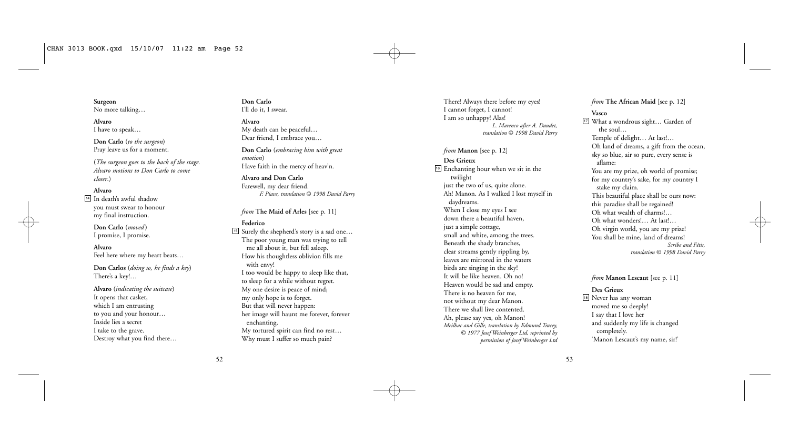**Surgeon** No more talking…

**Alvaro** I have to speak…

**Don Carlo** (*to the surgeon*) Pray leave us for a moment.

(*The surgeon goes to the back of the stage. Alvaro motions to Don Carlo to come closer*.)

**Alvaro**

In death's awful shadow 14 you must swear to honour my final instruction.

**Don Carlo** (*moved* ) I promise, I promise.

**Alvaro** Feel here where my heart beats…

**Don Carlos** (*doing so, he finds a key*) There's a key!…

**Alvaro** (*indicating the suitcase*) It opens that casket, which I am entrusting to you and your honour… Inside lies a secret I take to the grave. Destroy what you find there… **Don Carlo** I'll do it, I swear.

**Alvaro** My death can be peaceful… Dear friend, I embrace you…

**Don Carlo** (*embracing him with great emotion*) Have faith in the mercy of heav'n.

**Alvaro and Don Carlo** Farewell, my dear friend. *F. Piave, translation* © *1998 David Parry*

#### *from* The Maid of Arles [see p. 11]

- **Federico**
- Surely the shepherd's story is a sad one… 15 The poor young man was trying to tell me all about it, but fell asleep. How his thoughtless oblivion fills me with envy! I too would be happy to sleep like that, to sleep for a while without regret. My one desire is peace of mind; my only hope is to forget. But that will never happen: her image will haunt me forever, forever enchanting. My tortured spirit can find no rest… Why must I suffer so much pain?

There! Always there before my eyes! I cannot forget, I cannot! I am so unhappy! Alas! *L. Marenco after A. Daudet, translation* © *1998 David Parry*

*from* **Manon** [see p. 12] **Des Grieux** <sup>16</sup> Enchanting hour when we sit in the twilight just the two of us, quite alone. Ah! Manon. As I walked I lost myself in daydreams. When I close my eyes I see down there a beautiful haven, just a simple cottage, small and white, among the trees. Beneath the shady branches, clear streams gently rippling by, leaves are mirrored in the waters birds are singing in the sky! It will be like heaven. Oh no! Heaven would be sad and empty. There is no heaven for me, not without my dear Manon. There we shall live contented. Ah, please say yes, oh Manon! *Meilhac and Gille, translation by Edmund Tracey, © 1977 Josef Weinberger Ltd, reprinted by permission of Josef Weinberger Ltd* *from* **The African Maid** [see p. 12]

#### **Vasco**

What a wondrous sight… Garden of 17 the soul… Temple of delight… At last!… Oh land of dreams, a gift from the ocean, sky so blue, air so pure, every sense is aflame: You are my prize, oh world of promise; for my country's sake, for my country I stake my claim. This beautiful place shall be ours now: this paradise shall be regained! Oh what wealth of charms!… Oh what wonders!… At last!… Oh virgin world, you are my prize! You shall be mine, land of dreams! *Scribe and Fétis, translation* © *1998 David Parry*

*from* **Manon Lescaut** [see p. 11]

# **Des Grieux**

<sup>18</sup> Never has any woman moved me so deeply! I say that I love her and suddenly my life is changed completely. 'Manon Lescaut's my name, sir!'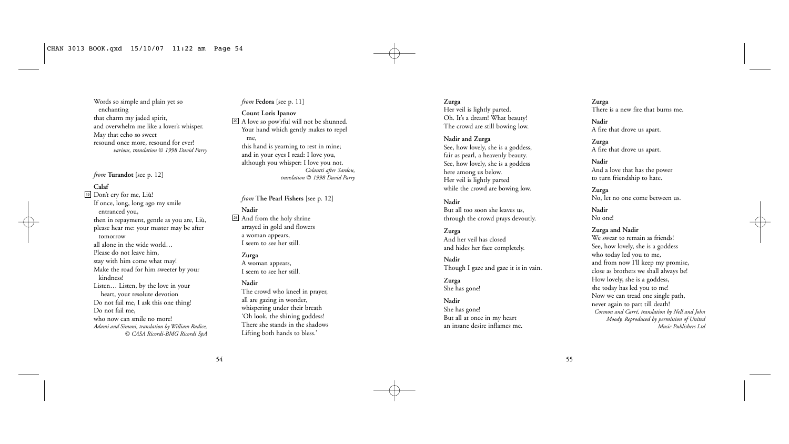Words so simple and plain yet so enchanting that charm my jaded spirit, and overwhelm me like a lover's whisper. May that echo so sweet resound once more, resound for ever! *various, translation* © *1998 David Parry*

#### *from* **Turandot** [see p. 12]

#### **Calaf**

19 Don't cry for me, Liù! If once, long, long ago my smile entranced you, then in repayment, gentle as you are, Liù, please hear me: your master may be after tomorrow all alone in the wide world… Please do not leave him, stay with him come what may! Make the road for him sweeter by your kindness! Listen… Listen, by the love in your heart, your resolute devotion Do not fail me, I ask this one thing! Do not fail me, who now can smile no more! *Adami and Simoni, translation by William Radice, © CASA Ricordi-BMG Ricordi SpA*

# *from* **Fedora** [see p. 11]

**Count Loris Ipanov** A love so pow'rful will not be shunned. 20 Your hand which gently makes to repel me, this hand is yearning to rest in mine; and in your eyes I read: I love you, although you whisper: I love you not. *Colautti after Sardou, translation* © *1998 David Parry*

#### *from* **The Pearl Fishers** [see p. 12]

### **Nadir**

And from the holy shrine 21 arrayed in gold and flowers a woman appears, I seem to see her still.

#### **Zurga**

A woman appears, I seem to see her still.

#### **Nadir**

The crowd who kneel in prayer, all are gazing in wonder, whispering under their breath 'Oh look, the shining goddess! There she stands in the shadows Lifting both hands to bless.'

**Zurga** Her veil is lightly parted. Oh. It's a dream! What beauty! The crowd are still bowing low.

#### **Nadir and Zurga**

See, how lovely, she is a goddess, fair as pearl, a heavenly beauty. See, how lovely, she is a goddess here among us below. Her veil is lightly parted while the crowd are bowing low.

#### **Nadir**

But all too soon she leaves us, through the crowd prays devoutly.

# **Zurga**

And her veil has closed and hides her face completely.

#### **Nadir** Though I gaze and gaze it is in vain.

**Zurga** She has gone!

#### **Nadir**

She has gone! But all at once in my heart an insane desire inflames me.

#### **Zurga** There is a new fire that burns me.

**Nadir** A fire that drove us apart.

#### **Zurga**

A fire that drove us apart.

#### **Nadir**

And a love that has the power to turn friendship to hate.

**Zurga** No, let no one come between us.

**Nadir** No one!

#### **Zurga and Nadir**

We swear to remain as friends! See, how lovely, she is a goddess who today led you to me, and from now I'll keep my promise, close as brothers we shall always be! How lovely, she is a goddess, she today has led you to me! Now we can tread one single path, never again to part till death! *Cormon and Carré, translation by Nell and John Moody. Reproduced by permission of United Music Publishers Ltd*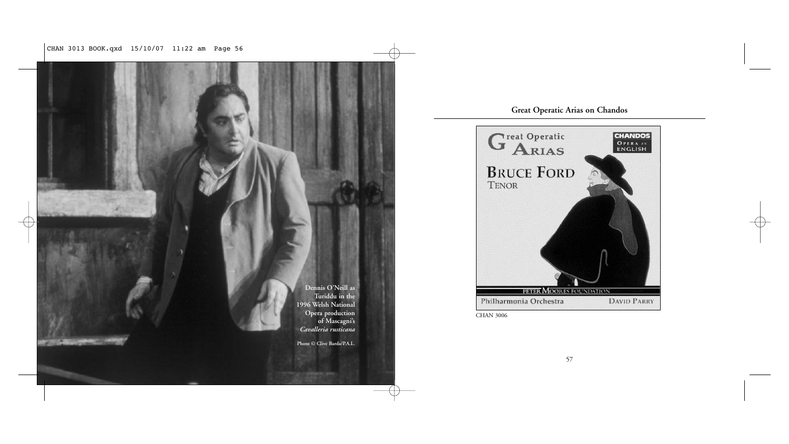CHAN 3013 BOOK.qxd 15/10/07 11:22 am Page 56



# **Great Operatic Arias on Chandos**

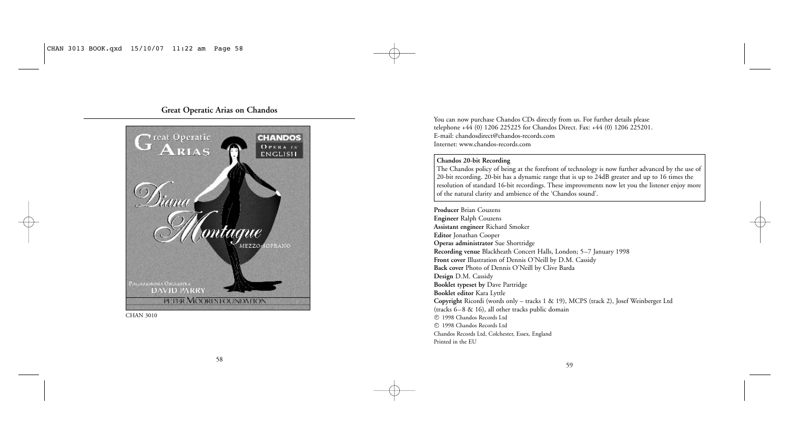# **Great Operatic Arias on Chandos**



CHAN 3010

You can now purchase Chandos CDs directly from us. For further details please telephone +44 (0) 1206 225225 for Chandos Direct. Fax: +44 (0) 1206 225201. E-mail: chandosdirect@chandos-records.com Internet: www.chandos-records.com

# **Chandos 20-bit Recording**

The Chandos policy of being at the forefront of technology is now further advanced by the use of 20-bit recording. 20-bit has a dynamic range that is up to 24dB greater and up to 16 times the resolution of standard 16-bit recordings. These improvements now let you the listener enjoy more of the natural clarity and ambience of the 'Chandos sound'.

**Producer** Brian Couzens **Engineer** Ralph Couzens **Assistant engineer** Richard Smoker **Editor** Jonathan Cooper **Operas administrator** Sue Shortridge **Recording venue** Blackheath Concert Halls, London; 5–7 January 1998 **Front cover** Illustration of Dennis O'Neill by D.M. Cassidy **Back cover** Photo of Dennis O'Neill by Clive Barda **Design** D.M. Cassidy **Booklet typeset by** Dave Partridge **Booklet editor** Kara Lyttle **Copyright** Ricordi (words only – tracks 1 & 19), MCPS (track 2), Josef Weinberger Ltd (tracks 6–8 & 16), all other tracks public domain 1998 Chandos Records Ltd P 1998 Chandos Records Ltd C Chandos Records Ltd, Colchester, Essex, England Printed in the EU

59